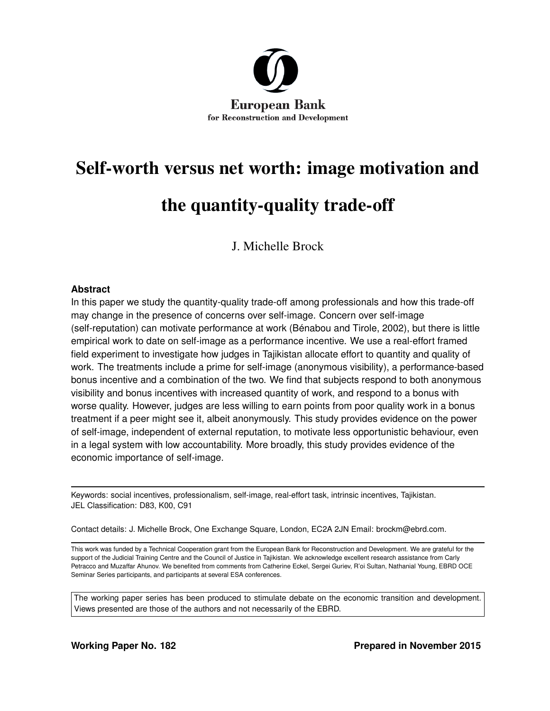

# Self-worth versus net worth: image motivation and the quantity-quality trade-off

J. Michelle Brock

#### **Abstract**

In this paper we study the quantity-quality trade-off among professionals and how this trade-off may change in the presence of concerns over self-image. Concern over self-image (self-reputation) can motivate performance at work [\(Bénabou and Tirole,](#page-29-0) [2002\)](#page-29-0), but there is little empirical work to date on self-image as a performance incentive. We use a real-effort framed field experiment to investigate how judges in Tajikistan allocate effort to quantity and quality of work. The treatments include a prime for self-image (anonymous visibility), a performance-based bonus incentive and a combination of the two. We find that subjects respond to both anonymous visibility and bonus incentives with increased quantity of work, and respond to a bonus with worse quality. However, judges are less willing to earn points from poor quality work in a bonus treatment if a peer might see it, albeit anonymously. This study provides evidence on the power of self-image, independent of external reputation, to motivate less opportunistic behaviour, even in a legal system with low accountability. More broadly, this study provides evidence of the economic importance of self-image.

Keywords: social incentives, professionalism, self-image, real-effort task, intrinsic incentives, Tajikistan. JEL Classification: D83, K00, C91

Contact details: J. Michelle Brock, One Exchange Square, London, EC2A 2JN Email: brockm@ebrd.com.

This work was funded by a Technical Cooperation grant from the European Bank for Reconstruction and Development. We are grateful for the support of the Judicial Training Centre and the Council of Justice in Tajikistan. We acknowledge excellent research assistance from Carly Petracco and Muzaffar Ahunov. We benefited from comments from Catherine Eckel, Sergei Guriev, R'oi Sultan, Nathanial Young, EBRD OCE Seminar Series participants, and participants at several ESA conferences.

The working paper series has been produced to stimulate debate on the economic transition and development. Views presented are those of the authors and not necessarily of the EBRD.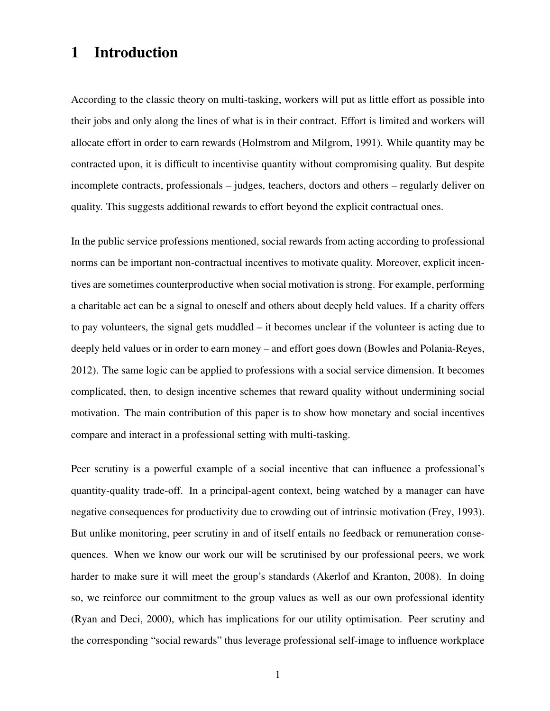# 1 Introduction

According to the classic theory on multi-tasking, workers will put as little effort as possible into their jobs and only along the lines of what is in their contract. Effort is limited and workers will allocate effort in order to earn rewards [\(Holmstrom and Milgrom,](#page-30-0) [1991\)](#page-30-0). While quantity may be contracted upon, it is difficult to incentivise quantity without compromising quality. But despite incomplete contracts, professionals – judges, teachers, doctors and others – regularly deliver on quality. This suggests additional rewards to effort beyond the explicit contractual ones.

In the public service professions mentioned, social rewards from acting according to professional norms can be important non-contractual incentives to motivate quality. Moreover, explicit incentives are sometimes counterproductive when social motivation is strong. For example, performing a charitable act can be a signal to oneself and others about deeply held values. If a charity offers to pay volunteers, the signal gets muddled – it becomes unclear if the volunteer is acting due to deeply held values or in order to earn money – and effort goes down [\(Bowles and Polania-Reyes,](#page-29-1) [2012\)](#page-29-1). The same logic can be applied to professions with a social service dimension. It becomes complicated, then, to design incentive schemes that reward quality without undermining social motivation. The main contribution of this paper is to show how monetary and social incentives compare and interact in a professional setting with multi-tasking.

Peer scrutiny is a powerful example of a social incentive that can influence a professional's quantity-quality trade-off. In a principal-agent context, being watched by a manager can have negative consequences for productivity due to crowding out of intrinsic motivation [\(Frey,](#page-30-1) [1993\)](#page-30-1). But unlike monitoring, peer scrutiny in and of itself entails no feedback or remuneration consequences. When we know our work our will be scrutinised by our professional peers, we work harder to make sure it will meet the group's standards [\(Akerlof and Kranton,](#page-29-2) [2008\)](#page-29-2). In doing so, we reinforce our commitment to the group values as well as our own professional identity [\(Ryan and Deci,](#page-31-0) [2000\)](#page-31-0), which has implications for our utility optimisation. Peer scrutiny and the corresponding "social rewards" thus leverage professional self-image to influence workplace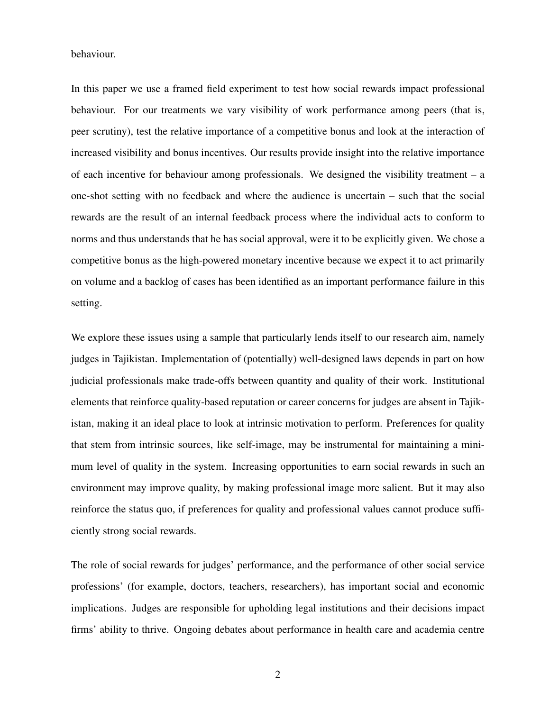behaviour.

In this paper we use a framed field experiment to test how social rewards impact professional behaviour. For our treatments we vary visibility of work performance among peers (that is, peer scrutiny), test the relative importance of a competitive bonus and look at the interaction of increased visibility and bonus incentives. Our results provide insight into the relative importance of each incentive for behaviour among professionals. We designed the visibility treatment – a one-shot setting with no feedback and where the audience is uncertain – such that the social rewards are the result of an internal feedback process where the individual acts to conform to norms and thus understands that he has social approval, were it to be explicitly given. We chose a competitive bonus as the high-powered monetary incentive because we expect it to act primarily on volume and a backlog of cases has been identified as an important performance failure in this setting.

We explore these issues using a sample that particularly lends itself to our research aim, namely judges in Tajikistan. Implementation of (potentially) well-designed laws depends in part on how judicial professionals make trade-offs between quantity and quality of their work. Institutional elements that reinforce quality-based reputation or career concerns for judges are absent in Tajikistan, making it an ideal place to look at intrinsic motivation to perform. Preferences for quality that stem from intrinsic sources, like self-image, may be instrumental for maintaining a minimum level of quality in the system. Increasing opportunities to earn social rewards in such an environment may improve quality, by making professional image more salient. But it may also reinforce the status quo, if preferences for quality and professional values cannot produce sufficiently strong social rewards.

The role of social rewards for judges' performance, and the performance of other social service professions' (for example, doctors, teachers, researchers), has important social and economic implications. Judges are responsible for upholding legal institutions and their decisions impact firms' ability to thrive. Ongoing debates about performance in health care and academia centre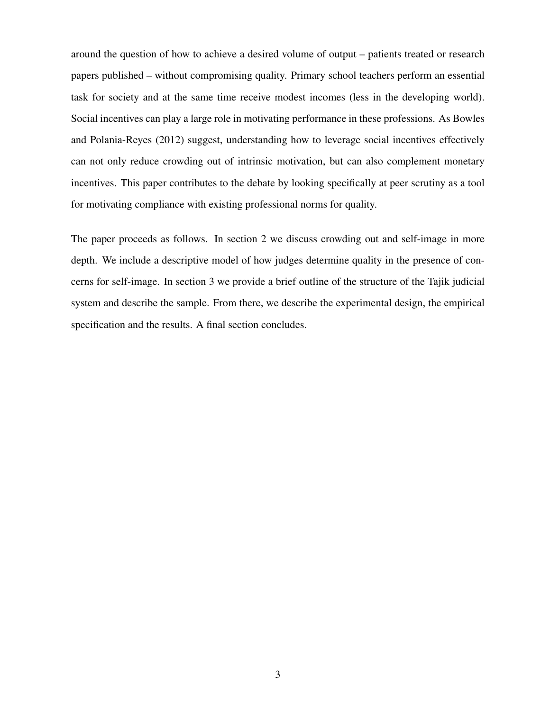around the question of how to achieve a desired volume of output – patients treated or research papers published – without compromising quality. Primary school teachers perform an essential task for society and at the same time receive modest incomes (less in the developing world). Social incentives can play a large role in motivating performance in these professions. As [Bowles](#page-29-1) [and Polania-Reyes](#page-29-1) [\(2012\)](#page-29-1) suggest, understanding how to leverage social incentives effectively can not only reduce crowding out of intrinsic motivation, but can also complement monetary incentives. This paper contributes to the debate by looking specifically at peer scrutiny as a tool for motivating compliance with existing professional norms for quality.

The paper proceeds as follows. In section 2 we discuss crowding out and self-image in more depth. We include a descriptive model of how judges determine quality in the presence of concerns for self-image. In section 3 we provide a brief outline of the structure of the Tajik judicial system and describe the sample. From there, we describe the experimental design, the empirical specification and the results. A final section concludes.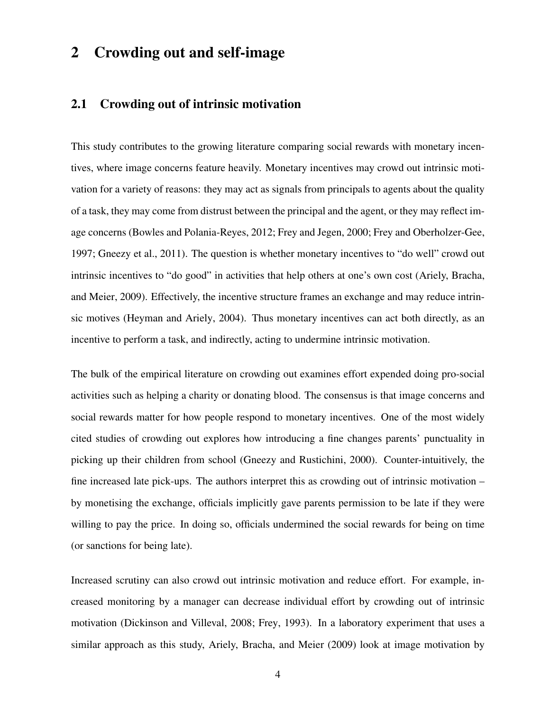# 2 Crowding out and self-image

## 2.1 Crowding out of intrinsic motivation

This study contributes to the growing literature comparing social rewards with monetary incentives, where image concerns feature heavily. Monetary incentives may crowd out intrinsic motivation for a variety of reasons: they may act as signals from principals to agents about the quality of a task, they may come from distrust between the principal and the agent, or they may reflect image concerns [\(Bowles and Polania-Reyes,](#page-29-1) [2012;](#page-29-1) [Frey and Jegen,](#page-30-2) [2000;](#page-30-2) [Frey and Oberholzer-Gee,](#page-30-3) [1997;](#page-30-3) [Gneezy et al.,](#page-30-4) [2011\)](#page-30-4). The question is whether monetary incentives to "do well" crowd out intrinsic incentives to "do good" in activities that help others at one's own cost [\(Ariely, Bracha,](#page-29-3) [and Meier,](#page-29-3) [2009\)](#page-29-3). Effectively, the incentive structure frames an exchange and may reduce intrinsic motives [\(Heyman and Ariely,](#page-30-5) [2004\)](#page-30-5). Thus monetary incentives can act both directly, as an incentive to perform a task, and indirectly, acting to undermine intrinsic motivation.

The bulk of the empirical literature on crowding out examines effort expended doing pro-social activities such as helping a charity or donating blood. The consensus is that image concerns and social rewards matter for how people respond to monetary incentives. One of the most widely cited studies of crowding out explores how introducing a fine changes parents' punctuality in picking up their children from school [\(Gneezy and Rustichini,](#page-30-6) [2000\)](#page-30-6). Counter-intuitively, the fine increased late pick-ups. The authors interpret this as crowding out of intrinsic motivation – by monetising the exchange, officials implicitly gave parents permission to be late if they were willing to pay the price. In doing so, officials undermined the social rewards for being on time (or sanctions for being late).

Increased scrutiny can also crowd out intrinsic motivation and reduce effort. For example, increased monitoring by a manager can decrease individual effort by crowding out of intrinsic motivation [\(Dickinson and Villeval,](#page-30-7) [2008;](#page-30-7) [Frey,](#page-30-1) [1993\)](#page-30-1). In a laboratory experiment that uses a similar approach as this study, [Ariely, Bracha, and Meier](#page-29-3) [\(2009\)](#page-29-3) look at image motivation by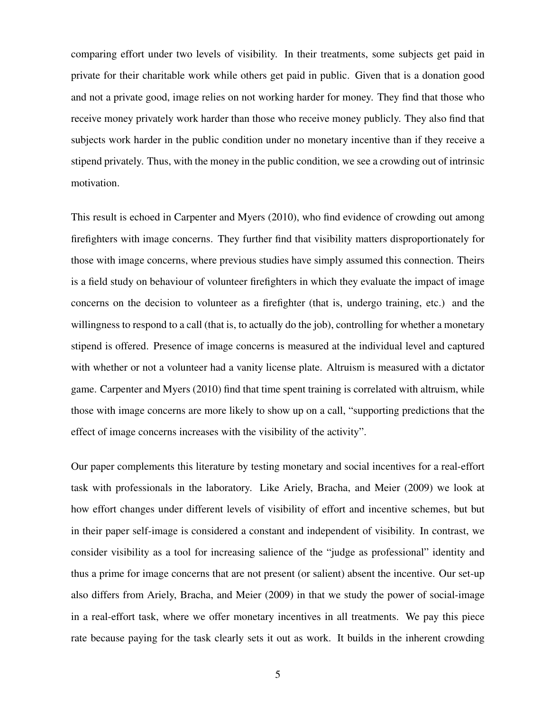comparing effort under two levels of visibility. In their treatments, some subjects get paid in private for their charitable work while others get paid in public. Given that is a donation good and not a private good, image relies on not working harder for money. They find that those who receive money privately work harder than those who receive money publicly. They also find that subjects work harder in the public condition under no monetary incentive than if they receive a stipend privately. Thus, with the money in the public condition, we see a crowding out of intrinsic motivation.

This result is echoed in [Carpenter and Myers](#page-29-4) [\(2010\)](#page-29-4), who find evidence of crowding out among firefighters with image concerns. They further find that visibility matters disproportionately for those with image concerns, where previous studies have simply assumed this connection. Theirs is a field study on behaviour of volunteer firefighters in which they evaluate the impact of image concerns on the decision to volunteer as a firefighter (that is, undergo training, etc.) and the willingness to respond to a call (that is, to actually do the job), controlling for whether a monetary stipend is offered. Presence of image concerns is measured at the individual level and captured with whether or not a volunteer had a vanity license plate. Altruism is measured with a dictator game. [Carpenter and Myers](#page-29-4) [\(2010\)](#page-29-4) find that time spent training is correlated with altruism, while those with image concerns are more likely to show up on a call, "supporting predictions that the effect of image concerns increases with the visibility of the activity".

Our paper complements this literature by testing monetary and social incentives for a real-effort task with professionals in the laboratory. Like [Ariely, Bracha, and Meier](#page-29-3) [\(2009\)](#page-29-3) we look at how effort changes under different levels of visibility of effort and incentive schemes, but but in their paper self-image is considered a constant and independent of visibility. In contrast, we consider visibility as a tool for increasing salience of the "judge as professional" identity and thus a prime for image concerns that are not present (or salient) absent the incentive. Our set-up also differs from [Ariely, Bracha, and Meier](#page-29-3) [\(2009\)](#page-29-3) in that we study the power of social-image in a real-effort task, where we offer monetary incentives in all treatments. We pay this piece rate because paying for the task clearly sets it out as work. It builds in the inherent crowding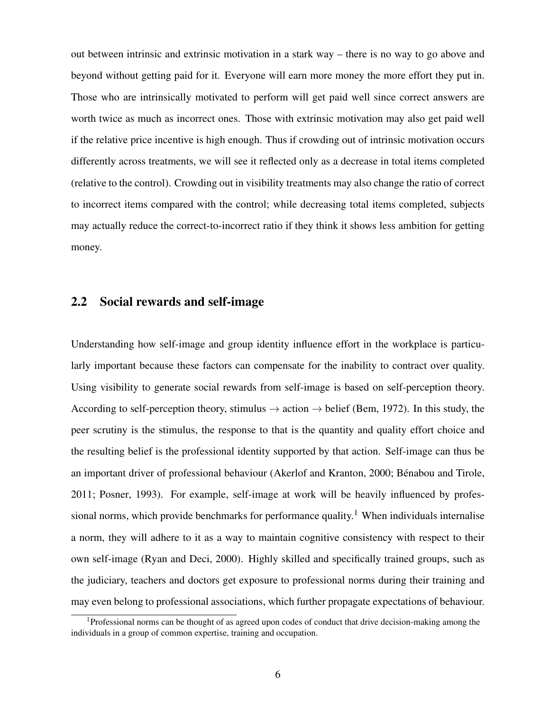out between intrinsic and extrinsic motivation in a stark way – there is no way to go above and beyond without getting paid for it. Everyone will earn more money the more effort they put in. Those who are intrinsically motivated to perform will get paid well since correct answers are worth twice as much as incorrect ones. Those with extrinsic motivation may also get paid well if the relative price incentive is high enough. Thus if crowding out of intrinsic motivation occurs differently across treatments, we will see it reflected only as a decrease in total items completed (relative to the control). Crowding out in visibility treatments may also change the ratio of correct to incorrect items compared with the control; while decreasing total items completed, subjects may actually reduce the correct-to-incorrect ratio if they think it shows less ambition for getting money.

## 2.2 Social rewards and self-image

Understanding how self-image and group identity influence effort in the workplace is particularly important because these factors can compensate for the inability to contract over quality. Using visibility to generate social rewards from self-image is based on self-perception theory. According to self-perception theory, stimulus  $\rightarrow$  action  $\rightarrow$  belief [\(Bem,](#page-29-5) [1972\)](#page-29-5). In this study, the peer scrutiny is the stimulus, the response to that is the quantity and quality effort choice and the resulting belief is the professional identity supported by that action. Self-image can thus be an important driver of professional behaviour [\(Akerlof and Kranton,](#page-29-6) [2000;](#page-29-6) [Bénabou and Tirole,](#page-29-7) [2011;](#page-29-7) [Posner,](#page-31-1) [1993\)](#page-31-1). For example, self-image at work will be heavily influenced by profes-sional norms, which provide benchmarks for performance quality.<sup>[1](#page-6-0)</sup> When individuals internalise a norm, they will adhere to it as a way to maintain cognitive consistency with respect to their own self-image [\(Ryan and Deci,](#page-31-0) [2000\)](#page-31-0). Highly skilled and specifically trained groups, such as the judiciary, teachers and doctors get exposure to professional norms during their training and may even belong to professional associations, which further propagate expectations of behaviour.

<span id="page-6-0"></span><sup>&</sup>lt;sup>1</sup>Professional norms can be thought of as agreed upon codes of conduct that drive decision-making among the individuals in a group of common expertise, training and occupation.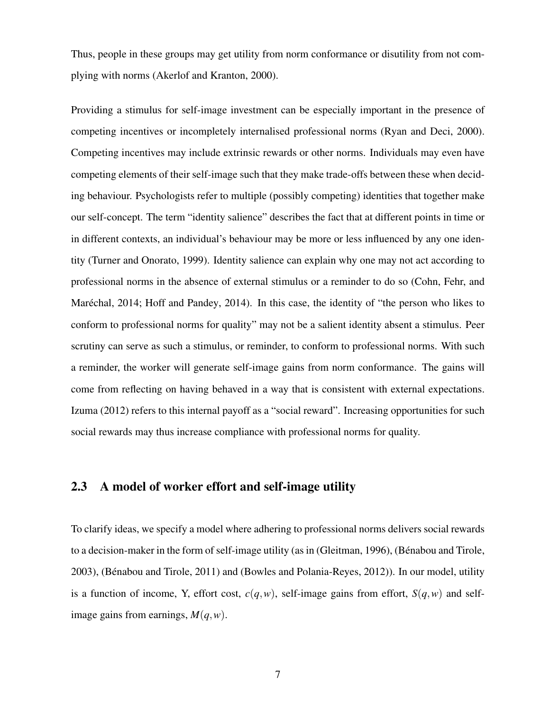Thus, people in these groups may get utility from norm conformance or disutility from not complying with norms [\(Akerlof and Kranton,](#page-29-6) [2000\)](#page-29-6).

Providing a stimulus for self-image investment can be especially important in the presence of competing incentives or incompletely internalised professional norms [\(Ryan and Deci,](#page-31-0) [2000\)](#page-31-0). Competing incentives may include extrinsic rewards or other norms. Individuals may even have competing elements of their self-image such that they make trade-offs between these when deciding behaviour. Psychologists refer to multiple (possibly competing) identities that together make our self-concept. The term "identity salience" describes the fact that at different points in time or in different contexts, an individual's behaviour may be more or less influenced by any one identity [\(Turner and Onorato,](#page-31-2) [1999\)](#page-31-2). Identity salience can explain why one may not act according to professional norms in the absence of external stimulus or a reminder to do so [\(Cohn, Fehr, and](#page-29-8) [Maréchal,](#page-29-8) [2014;](#page-29-8) [Hoff and Pandey,](#page-30-8) [2014\)](#page-30-8). In this case, the identity of "the person who likes to conform to professional norms for quality" may not be a salient identity absent a stimulus. Peer scrutiny can serve as such a stimulus, or reminder, to conform to professional norms. With such a reminder, the worker will generate self-image gains from norm conformance. The gains will come from reflecting on having behaved in a way that is consistent with external expectations. [Izuma](#page-31-3) [\(2012\)](#page-31-3) refers to this internal payoff as a "social reward". Increasing opportunities for such social rewards may thus increase compliance with professional norms for quality.

## 2.3 A model of worker effort and self-image utility

To clarify ideas, we specify a model where adhering to professional norms delivers social rewards to a decision-maker in the form of self-image utility (as in [\(Gleitman,](#page-30-9) [1996\)](#page-30-9), [\(Bénabou and Tirole,](#page-29-9) [2003\)](#page-29-9), [\(Bénabou and Tirole,](#page-29-7) [2011\)](#page-29-7) and [\(Bowles and Polania-Reyes,](#page-29-1) [2012\)](#page-29-1)). In our model, utility is a function of income, Y, effort cost,  $c(q, w)$ , self-image gains from effort,  $S(q, w)$  and selfimage gains from earnings, *M*(*q*,*w*).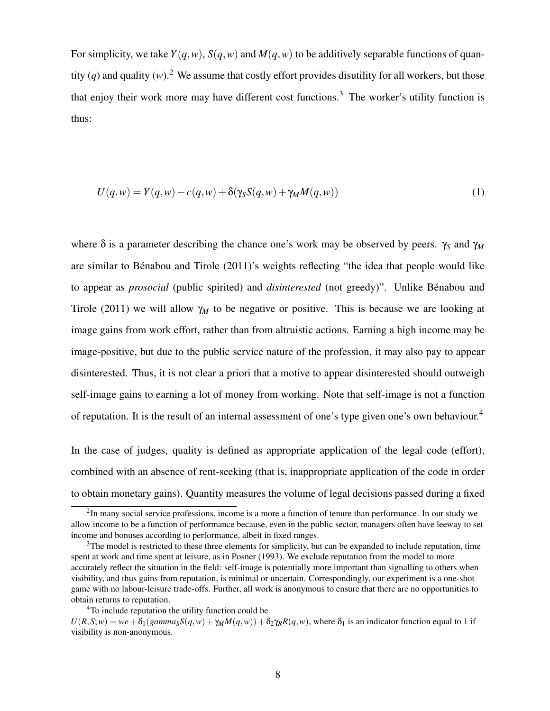For simplicity, we take  $Y(q, w)$ ,  $S(q, w)$  and  $M(q, w)$  to be additively separable functions of quantity (*q*) and quality (*w*).<sup>[2](#page-8-0)</sup> We assume that costly effort provides disutility for all workers, but those that enjoy their work more may have different cost functions.<sup>[3](#page-8-1)</sup> The worker's utility function is thus:

$$
U(q, w) = Y(q, w) - c(q, w) + \delta(\gamma_S S(q, w) + \gamma_M M(q, w))
$$
\n(1)

where δ is a parameter describing the chance one's work may be observed by peers. γ*<sup>S</sup>* and γ*<sup>M</sup>* are similar to [Bénabou and Tirole](#page-29-7) [\(2011\)](#page-29-7)'s weights reflecting "the idea that people would like to appear as *prosocial* (public spirited) and *disinterested* (not greedy)". Unlike [Bénabou and](#page-29-7) [Tirole](#page-29-7) [\(2011\)](#page-29-7) we will allow γ*<sup>M</sup>* to be negative or positive. This is because we are looking at image gains from work effort, rather than from altruistic actions. Earning a high income may be image-positive, but due to the public service nature of the profession, it may also pay to appear disinterested. Thus, it is not clear a priori that a motive to appear disinterested should outweigh self-image gains to earning a lot of money from working. Note that self-image is not a function of reputation. It is the result of an internal assessment of one's type given one's own behaviour.[4](#page-8-2)

In the case of judges, quality is defined as appropriate application of the legal code (effort), combined with an absence of rent-seeking (that is, inappropriate application of the code in order to obtain monetary gains). Quantity measures the volume of legal decisions passed during a fixed

<span id="page-8-0"></span><sup>&</sup>lt;sup>2</sup>In many social service professions, income is a more a function of tenure than performance. In our study we allow income to be a function of performance because, even in the public sector, managers often have leeway to set income and bonuses according to performance, albeit in fixed ranges.

<span id="page-8-1"></span><sup>&</sup>lt;sup>3</sup>The model is restricted to these three elements for simplicity, but can be expanded to include reputation, time spent at work and time spent at leisure, as in [Posner](#page-31-1) [\(1993\)](#page-31-1). We exclude reputation from the model to more accurately reflect the situation in the field: self-image is potentially more important than signalling to others when visibility, and thus gains from reputation, is minimal or uncertain. Correspondingly, our experiment is a one-shot game with no labour-leisure trade-offs. Further, all work is anonymous to ensure that there are no opportunities to obtain returns to reputation.

<span id="page-8-2"></span><sup>&</sup>lt;sup>4</sup>To include reputation the utility function could be

 $U(R, S; w) = we + \delta_1(gamma_S S(q, w) + \gamma_M M(q, w)) + \delta_2 \gamma_R R(q, w)$ , where  $\delta_1$  is an indicator function equal to 1 if visibility is non-anonymous.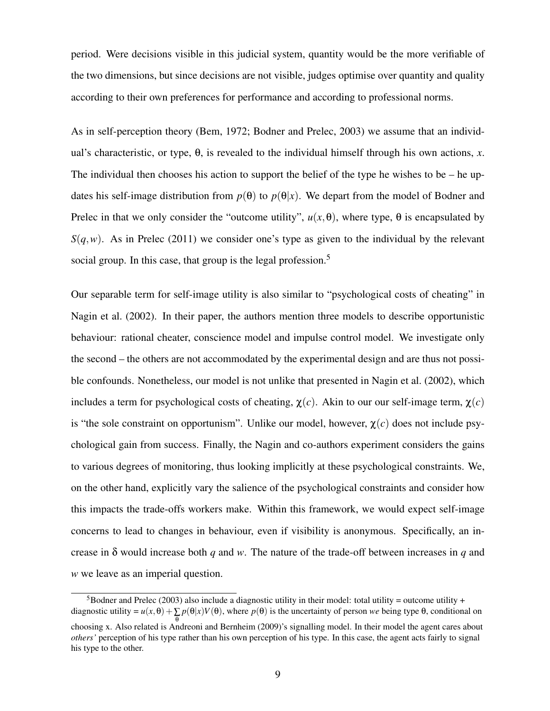period. Were decisions visible in this judicial system, quantity would be the more verifiable of the two dimensions, but since decisions are not visible, judges optimise over quantity and quality according to their own preferences for performance and according to professional norms.

As in self-perception theory [\(Bem,](#page-29-5) [1972;](#page-29-5) [Bodner and Prelec,](#page-29-10) [2003\)](#page-29-10) we assume that an individual's characteristic, or type, θ, is revealed to the individual himself through his own actions, *x*. The individual then chooses his action to support the belief of the type he wishes to be  $-$  he updates his self-image distribution from  $p(\theta)$  to  $p(\theta|x)$ . We depart from the model of Bodner and Prelec in that we only consider the "outcome utility",  $u(x, \theta)$ , where type,  $\theta$  is encapsulated by  $S(q, w)$ . As in [Prelec](#page-31-4) [\(2011\)](#page-31-4) we consider one's type as given to the individual by the relevant social group. In this case, that group is the legal profession.<sup>[5](#page-9-0)</sup>

Our separable term for self-image utility is also similar to "psychological costs of cheating" in [Nagin et al.](#page-31-5) [\(2002\)](#page-31-5). In their paper, the authors mention three models to describe opportunistic behaviour: rational cheater, conscience model and impulse control model. We investigate only the second – the others are not accommodated by the experimental design and are thus not possible confounds. Nonetheless, our model is not unlike that presented in [Nagin et al.](#page-31-5) [\(2002\)](#page-31-5), which includes a term for psychological costs of cheating,  $\chi(c)$ . Akin to our our self-image term,  $\chi(c)$ is "the sole constraint on opportunism". Unlike our model, however,  $\chi(c)$  does not include psychological gain from success. Finally, the Nagin and co-authors experiment considers the gains to various degrees of monitoring, thus looking implicitly at these psychological constraints. We, on the other hand, explicitly vary the salience of the psychological constraints and consider how this impacts the trade-offs workers make. Within this framework, we would expect self-image concerns to lead to changes in behaviour, even if visibility is anonymous. Specifically, an increase in δ would increase both *q* and *w*. The nature of the trade-off between increases in *q* and *w* we leave as an imperial question.

<span id="page-9-0"></span> $5B$ odner and Prelec [\(2003\)](#page-29-10) also include a diagnostic utility in their model: total utility = outcome utility + diagnostic utility =  $u(x, \theta) + \sum p(\theta|x)V(\theta)$ , where  $p(\theta)$  is the uncertainty of person *we* being type  $\theta$ , conditional on θ choosing x. Also related is [Andreoni and Bernheim](#page-29-11) [\(2009\)](#page-29-11)'s signalling model. In their model the agent cares about *others'* perception of his type rather than his own perception of his type. In this case, the agent acts fairly to signal his type to the other.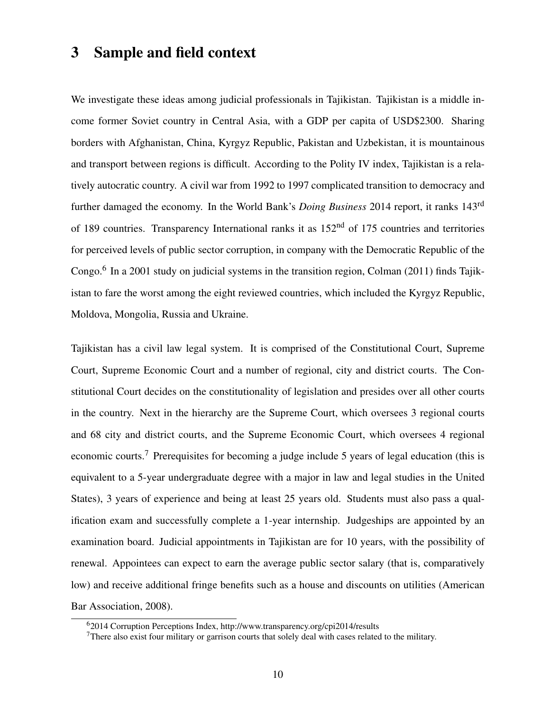## 3 Sample and field context

We investigate these ideas among judicial professionals in Tajikistan. Tajikistan is a middle income former Soviet country in Central Asia, with a GDP per capita of USD\$2300. Sharing borders with Afghanistan, China, Kyrgyz Republic, Pakistan and Uzbekistan, it is mountainous and transport between regions is difficult. According to the Polity IV index, Tajikistan is a relatively autocratic country. A civil war from 1992 to 1997 complicated transition to democracy and further damaged the economy. In the World Bank's *Doing Business* 2014 report, it ranks 143rd of 189 countries. Transparency International ranks it as  $152<sup>nd</sup>$  of 175 countries and territories for perceived levels of public sector corruption, in company with the Democratic Republic of the Congo.<sup>[6](#page-10-0)</sup> In a 2001 study on judicial systems in the transition region, [Colman](#page-29-12) [\(2011\)](#page-29-12) finds Tajikistan to fare the worst among the eight reviewed countries, which included the Kyrgyz Republic, Moldova, Mongolia, Russia and Ukraine.

Tajikistan has a civil law legal system. It is comprised of the Constitutional Court, Supreme Court, Supreme Economic Court and a number of regional, city and district courts. The Constitutional Court decides on the constitutionality of legislation and presides over all other courts in the country. Next in the hierarchy are the Supreme Court, which oversees 3 regional courts and 68 city and district courts, and the Supreme Economic Court, which oversees 4 regional economic courts.<sup>[7](#page-10-1)</sup> Prerequisites for becoming a judge include 5 years of legal education (this is equivalent to a 5-year undergraduate degree with a major in law and legal studies in the United States), 3 years of experience and being at least 25 years old. Students must also pass a qualification exam and successfully complete a 1-year internship. Judgeships are appointed by an examination board. Judicial appointments in Tajikistan are for 10 years, with the possibility of renewal. Appointees can expect to earn the average public sector salary (that is, comparatively low) and receive additional fringe benefits such as a house and discounts on utilities [\(American](#page-29-13) [Bar Association,](#page-29-13) [2008\)](#page-29-13).

<span id="page-10-0"></span><sup>6</sup>2014 Corruption Perceptions Index, http://www.transparency.org/cpi2014/results

<span id="page-10-1"></span><sup>&</sup>lt;sup>7</sup>There also exist four military or garrison courts that solely deal with cases related to the military.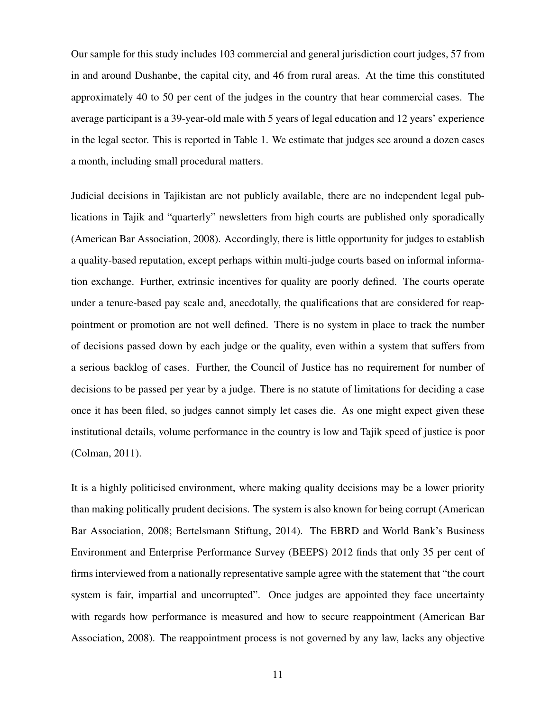Our sample for this study includes 103 commercial and general jurisdiction court judges, 57 from in and around Dushanbe, the capital city, and 46 from rural areas. At the time this constituted approximately 40 to 50 per cent of the judges in the country that hear commercial cases. The average participant is a 39-year-old male with 5 years of legal education and 12 years' experience in the legal sector. This is reported in [Table 1.](#page-32-0) We estimate that judges see around a dozen cases a month, including small procedural matters.

Judicial decisions in Tajikistan are not publicly available, there are no independent legal publications in Tajik and "quarterly" newsletters from high courts are published only sporadically [\(American Bar Association,](#page-29-13) [2008\)](#page-29-13). Accordingly, there is little opportunity for judges to establish a quality-based reputation, except perhaps within multi-judge courts based on informal information exchange. Further, extrinsic incentives for quality are poorly defined. The courts operate under a tenure-based pay scale and, anecdotally, the qualifications that are considered for reappointment or promotion are not well defined. There is no system in place to track the number of decisions passed down by each judge or the quality, even within a system that suffers from a serious backlog of cases. Further, the Council of Justice has no requirement for number of decisions to be passed per year by a judge. There is no statute of limitations for deciding a case once it has been filed, so judges cannot simply let cases die. As one might expect given these institutional details, volume performance in the country is low and Tajik speed of justice is poor [\(Colman,](#page-29-12) [2011\)](#page-29-12).

It is a highly politicised environment, where making quality decisions may be a lower priority than making politically prudent decisions. The system is also known for being corrupt [\(American](#page-29-13) [Bar Association,](#page-29-13) [2008;](#page-29-13) [Bertelsmann Stiftung,](#page-29-14) [2014\)](#page-29-14). The EBRD and World Bank's Business Environment and Enterprise Performance Survey (BEEPS) 2012 finds that only 35 per cent of firms interviewed from a nationally representative sample agree with the statement that "the court system is fair, impartial and uncorrupted". Once judges are appointed they face uncertainty with regards how performance is measured and how to secure reappointment [\(American Bar](#page-29-13) [Association,](#page-29-13) [2008\)](#page-29-13). The reappointment process is not governed by any law, lacks any objective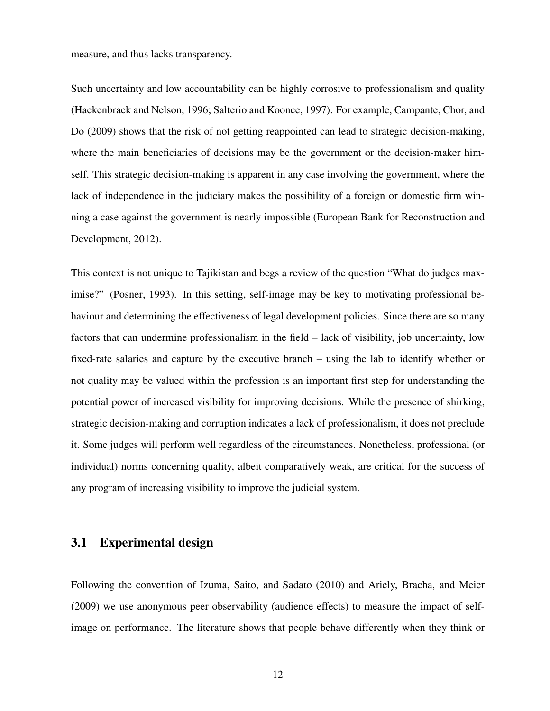measure, and thus lacks transparency.

Such uncertainty and low accountability can be highly corrosive to professionalism and quality [\(Hackenbrack and Nelson,](#page-30-10) [1996;](#page-30-10) [Salterio and Koonce,](#page-31-6) [1997\)](#page-31-6). For example, [Campante, Chor, and](#page-29-15) [Do](#page-29-15) [\(2009\)](#page-29-15) shows that the risk of not getting reappointed can lead to strategic decision-making, where the main beneficiaries of decisions may be the government or the decision-maker himself. This strategic decision-making is apparent in any case involving the government, where the lack of independence in the judiciary makes the possibility of a foreign or domestic firm winning a case against the government is nearly impossible [\(European Bank for Reconstruction and](#page-30-11) [Development,](#page-30-11) [2012\)](#page-30-11).

This context is not unique to Tajikistan and begs a review of the question "What do judges maximise?" [\(Posner,](#page-31-1) [1993\)](#page-31-1). In this setting, self-image may be key to motivating professional behaviour and determining the effectiveness of legal development policies. Since there are so many factors that can undermine professionalism in the field – lack of visibility, job uncertainty, low fixed-rate salaries and capture by the executive branch – using the lab to identify whether or not quality may be valued within the profession is an important first step for understanding the potential power of increased visibility for improving decisions. While the presence of shirking, strategic decision-making and corruption indicates a lack of professionalism, it does not preclude it. Some judges will perform well regardless of the circumstances. Nonetheless, professional (or individual) norms concerning quality, albeit comparatively weak, are critical for the success of any program of increasing visibility to improve the judicial system.

## 3.1 Experimental design

Following the convention of [Izuma, Saito, and Sadato](#page-31-7) [\(2010\)](#page-31-7) and [Ariely, Bracha, and Meier](#page-29-3) [\(2009\)](#page-29-3) we use anonymous peer observability (audience effects) to measure the impact of selfimage on performance. The literature shows that people behave differently when they think or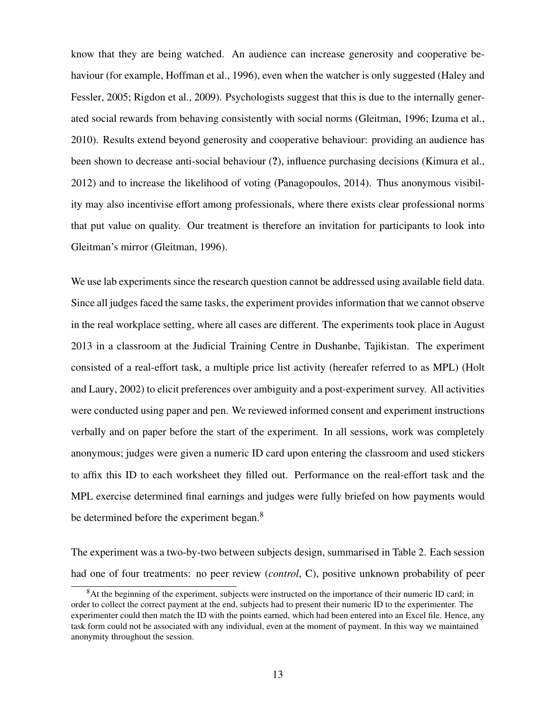know that they are being watched. An audience can increase generosity and cooperative behaviour (for example, [Hoffman et al.,](#page-30-12) [1996\)](#page-30-12), even when the watcher is only suggested [\(Haley and](#page-30-13) [Fessler,](#page-30-13) [2005;](#page-30-13) [Rigdon et al.,](#page-31-8) [2009\)](#page-31-8). Psychologists suggest that this is due to the internally generated social rewards from behaving consistently with social norms [\(Gleitman,](#page-30-9) [1996;](#page-30-9) [Izuma et al.,](#page-31-7) [2010\)](#page-31-7). Results extend beyond generosity and cooperative behaviour: providing an audience has been shown to decrease anti-social behaviour (?), influence purchasing decisions [\(Kimura et al.,](#page-31-9) [2012\)](#page-31-9) and to increase the likelihood of voting [\(Panagopoulos,](#page-31-10) [2014\)](#page-31-10). Thus anonymous visibility may also incentivise effort among professionals, where there exists clear professional norms that put value on quality. Our treatment is therefore an invitation for participants to look into Gleitman's mirror [\(Gleitman,](#page-30-9) [1996\)](#page-30-9).

We use lab experiments since the research question cannot be addressed using available field data. Since all judges faced the same tasks, the experiment provides information that we cannot observe in the real workplace setting, where all cases are different. The experiments took place in August 2013 in a classroom at the Judicial Training Centre in Dushanbe, Tajikistan. The experiment consisted of a real-effort task, a multiple price list activity (hereafer referred to as MPL) [\(Holt](#page-31-11) [and Laury,](#page-31-11) [2002\)](#page-31-11) to elicit preferences over ambiguity and a post-experiment survey. All activities were conducted using paper and pen. We reviewed informed consent and experiment instructions verbally and on paper before the start of the experiment. In all sessions, work was completely anonymous; judges were given a numeric ID card upon entering the classroom and used stickers to affix this ID to each worksheet they filled out. Performance on the real-effort task and the MPL exercise determined final earnings and judges were fully briefed on how payments would be determined before the experiment began.<sup>[8](#page-13-0)</sup>

The experiment was a two-by-two between subjects design, summarised in [Table 2.](#page-33-0) Each session had one of four treatments: no peer review (*control*, C), positive unknown probability of peer

<span id="page-13-0"></span><sup>&</sup>lt;sup>8</sup>At the beginning of the experiment, subjects were instructed on the importance of their numeric ID card; in order to collect the correct payment at the end, subjects had to present their numeric ID to the experimenter. The experimenter could then match the ID with the points earned, which had been entered into an Excel file. Hence, any task form could not be associated with any individual, even at the moment of payment. In this way we maintained anonymity throughout the session.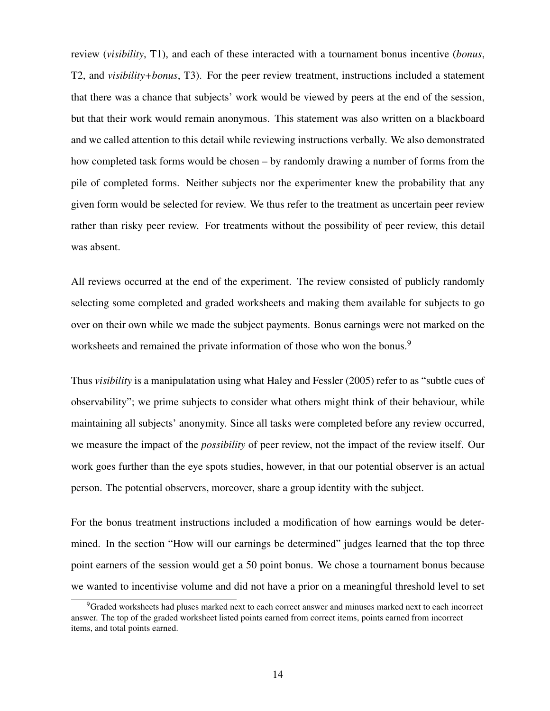review (*visibility*, T1), and each of these interacted with a tournament bonus incentive (*bonus*, T2, and *visibility+bonus*, T3). For the peer review treatment, instructions included a statement that there was a chance that subjects' work would be viewed by peers at the end of the session, but that their work would remain anonymous. This statement was also written on a blackboard and we called attention to this detail while reviewing instructions verbally. We also demonstrated how completed task forms would be chosen – by randomly drawing a number of forms from the pile of completed forms. Neither subjects nor the experimenter knew the probability that any given form would be selected for review. We thus refer to the treatment as uncertain peer review rather than risky peer review. For treatments without the possibility of peer review, this detail was absent.

All reviews occurred at the end of the experiment. The review consisted of publicly randomly selecting some completed and graded worksheets and making them available for subjects to go over on their own while we made the subject payments. Bonus earnings were not marked on the worksheets and remained the private information of those who won the bonus.<sup>[9](#page-14-0)</sup>

Thus *visibility* is a manipulatation using what [Haley and Fessler](#page-30-13) [\(2005\)](#page-30-13) refer to as "subtle cues of observability"; we prime subjects to consider what others might think of their behaviour, while maintaining all subjects' anonymity. Since all tasks were completed before any review occurred, we measure the impact of the *possibility* of peer review, not the impact of the review itself. Our work goes further than the eye spots studies, however, in that our potential observer is an actual person. The potential observers, moreover, share a group identity with the subject.

For the bonus treatment instructions included a modification of how earnings would be determined. In the section "How will our earnings be determined" judges learned that the top three point earners of the session would get a 50 point bonus. We chose a tournament bonus because we wanted to incentivise volume and did not have a prior on a meaningful threshold level to set

<span id="page-14-0"></span><sup>&</sup>lt;sup>9</sup>Graded worksheets had pluses marked next to each correct answer and minuses marked next to each incorrect answer. The top of the graded worksheet listed points earned from correct items, points earned from incorrect items, and total points earned.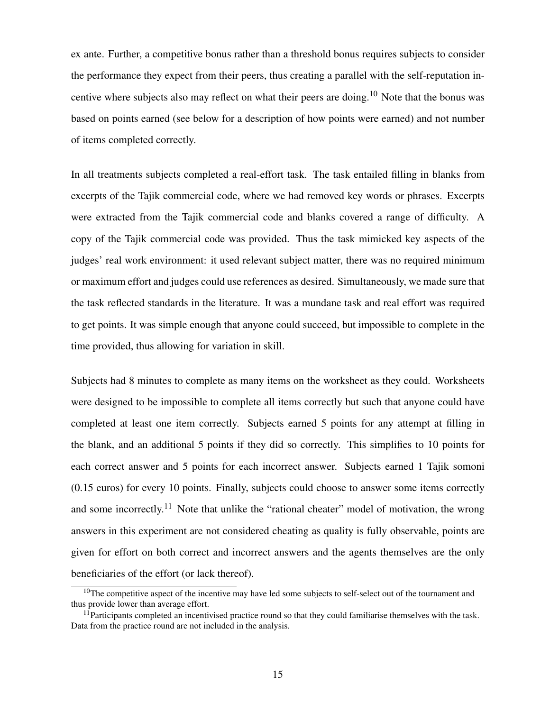ex ante. Further, a competitive bonus rather than a threshold bonus requires subjects to consider the performance they expect from their peers, thus creating a parallel with the self-reputation in-centive where subjects also may reflect on what their peers are doing.<sup>[10](#page-15-0)</sup> Note that the bonus was based on points earned (see below for a description of how points were earned) and not number of items completed correctly.

In all treatments subjects completed a real-effort task. The task entailed filling in blanks from excerpts of the Tajik commercial code, where we had removed key words or phrases. Excerpts were extracted from the Tajik commercial code and blanks covered a range of difficulty. A copy of the Tajik commercial code was provided. Thus the task mimicked key aspects of the judges' real work environment: it used relevant subject matter, there was no required minimum or maximum effort and judges could use references as desired. Simultaneously, we made sure that the task reflected standards in the literature. It was a mundane task and real effort was required to get points. It was simple enough that anyone could succeed, but impossible to complete in the time provided, thus allowing for variation in skill.

Subjects had 8 minutes to complete as many items on the worksheet as they could. Worksheets were designed to be impossible to complete all items correctly but such that anyone could have completed at least one item correctly. Subjects earned 5 points for any attempt at filling in the blank, and an additional 5 points if they did so correctly. This simplifies to 10 points for each correct answer and 5 points for each incorrect answer. Subjects earned 1 Tajik somoni (0.15 euros) for every 10 points. Finally, subjects could choose to answer some items correctly and some incorrectly.<sup>[11](#page-15-1)</sup> Note that unlike the "rational cheater" model of motivation, the wrong answers in this experiment are not considered cheating as quality is fully observable, points are given for effort on both correct and incorrect answers and the agents themselves are the only beneficiaries of the effort (or lack thereof).

<span id="page-15-0"></span><sup>&</sup>lt;sup>10</sup>The competitive aspect of the incentive may have led some subjects to self-select out of the tournament and thus provide lower than average effort.

<span id="page-15-1"></span> $11$ Participants completed an incentivised practice round so that they could familiarise themselves with the task. Data from the practice round are not included in the analysis.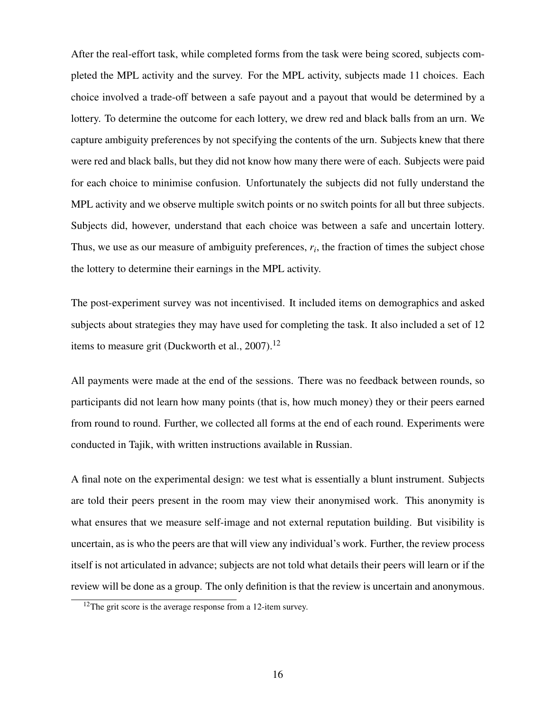After the real-effort task, while completed forms from the task were being scored, subjects completed the MPL activity and the survey. For the MPL activity, subjects made 11 choices. Each choice involved a trade-off between a safe payout and a payout that would be determined by a lottery. To determine the outcome for each lottery, we drew red and black balls from an urn. We capture ambiguity preferences by not specifying the contents of the urn. Subjects knew that there were red and black balls, but they did not know how many there were of each. Subjects were paid for each choice to minimise confusion. Unfortunately the subjects did not fully understand the MPL activity and we observe multiple switch points or no switch points for all but three subjects. Subjects did, however, understand that each choice was between a safe and uncertain lottery. Thus, we use as our measure of ambiguity preferences,  $r_i$ , the fraction of times the subject chose the lottery to determine their earnings in the MPL activity.

The post-experiment survey was not incentivised. It included items on demographics and asked subjects about strategies they may have used for completing the task. It also included a set of 12 items to measure grit [\(Duckworth et al.,](#page-30-14)  $2007$ ).<sup>[12](#page-16-0)</sup>

All payments were made at the end of the sessions. There was no feedback between rounds, so participants did not learn how many points (that is, how much money) they or their peers earned from round to round. Further, we collected all forms at the end of each round. Experiments were conducted in Tajik, with written instructions available in Russian.

A final note on the experimental design: we test what is essentially a blunt instrument. Subjects are told their peers present in the room may view their anonymised work. This anonymity is what ensures that we measure self-image and not external reputation building. But visibility is uncertain, as is who the peers are that will view any individual's work. Further, the review process itself is not articulated in advance; subjects are not told what details their peers will learn or if the review will be done as a group. The only definition is that the review is uncertain and anonymous.

<span id="page-16-0"></span><sup>&</sup>lt;sup>12</sup>The grit score is the average response from a 12-item survey.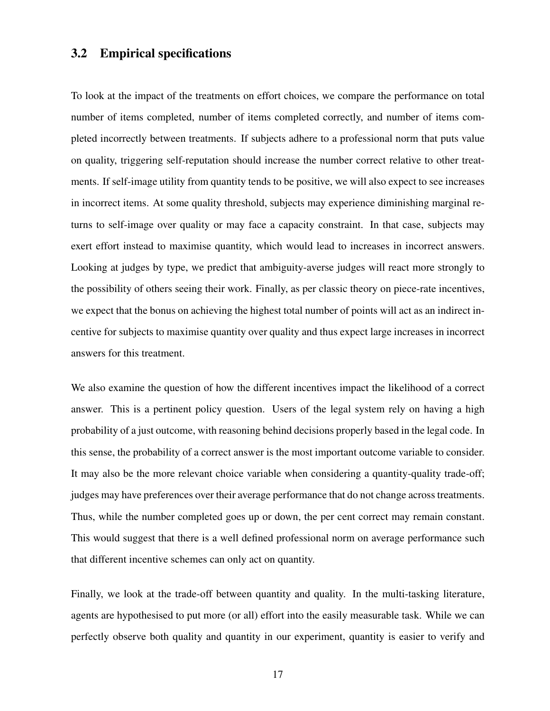## 3.2 Empirical specifications

To look at the impact of the treatments on effort choices, we compare the performance on total number of items completed, number of items completed correctly, and number of items completed incorrectly between treatments. If subjects adhere to a professional norm that puts value on quality, triggering self-reputation should increase the number correct relative to other treatments. If self-image utility from quantity tends to be positive, we will also expect to see increases in incorrect items. At some quality threshold, subjects may experience diminishing marginal returns to self-image over quality or may face a capacity constraint. In that case, subjects may exert effort instead to maximise quantity, which would lead to increases in incorrect answers. Looking at judges by type, we predict that ambiguity-averse judges will react more strongly to the possibility of others seeing their work. Finally, as per classic theory on piece-rate incentives, we expect that the bonus on achieving the highest total number of points will act as an indirect incentive for subjects to maximise quantity over quality and thus expect large increases in incorrect answers for this treatment.

We also examine the question of how the different incentives impact the likelihood of a correct answer. This is a pertinent policy question. Users of the legal system rely on having a high probability of a just outcome, with reasoning behind decisions properly based in the legal code. In this sense, the probability of a correct answer is the most important outcome variable to consider. It may also be the more relevant choice variable when considering a quantity-quality trade-off; judges may have preferences over their average performance that do not change across treatments. Thus, while the number completed goes up or down, the per cent correct may remain constant. This would suggest that there is a well defined professional norm on average performance such that different incentive schemes can only act on quantity.

Finally, we look at the trade-off between quantity and quality. In the multi-tasking literature, agents are hypothesised to put more (or all) effort into the easily measurable task. While we can perfectly observe both quality and quantity in our experiment, quantity is easier to verify and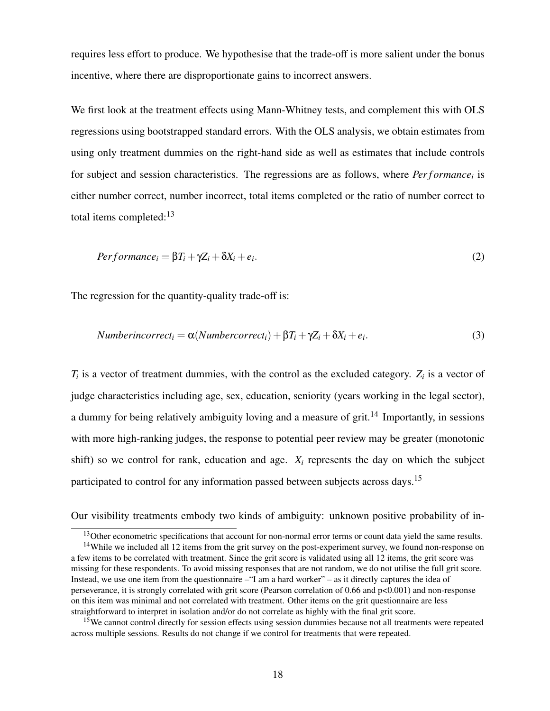requires less effort to produce. We hypothesise that the trade-off is more salient under the bonus incentive, where there are disproportionate gains to incorrect answers.

We first look at the treatment effects using Mann-Whitney tests, and complement this with OLS regressions using bootstrapped standard errors. With the OLS analysis, we obtain estimates from using only treatment dummies on the right-hand side as well as estimates that include controls for subject and session characteristics. The regressions are as follows, where *Performance*<sup>*i*</sup> is either number correct, number incorrect, total items completed or the ratio of number correct to total items completed: $13$ 

$$
Performance_i = \beta T_i + \gamma Z_i + \delta X_i + e_i.
$$
\n(2)

The regression for the quantity-quality trade-off is:

Numberincorrect<sub>i</sub> = 
$$
\alpha
$$
(Numbercorrect<sub>i</sub>) +  $\beta$ T<sub>i</sub> +  $\gamma$ Z<sub>i</sub> +  $\delta$ X<sub>i</sub> +  $e_i$ . (3)

 $T_i$  is a vector of treatment dummies, with the control as the excluded category.  $Z_i$  is a vector of judge characteristics including age, sex, education, seniority (years working in the legal sector), a dummy for being relatively ambiguity loving and a measure of grit.<sup>[14](#page-18-1)</sup> Importantly, in sessions with more high-ranking judges, the response to potential peer review may be greater (monotonic shift) so we control for rank, education and age.  $X_i$  represents the day on which the subject participated to control for any information passed between subjects across days.<sup>[15](#page-18-2)</sup>

Our visibility treatments embody two kinds of ambiguity: unknown positive probability of in-

<span id="page-18-1"></span><span id="page-18-0"></span><sup>&</sup>lt;sup>13</sup>Other econometric specifications that account for non-normal error terms or count data yield the same results.

<sup>&</sup>lt;sup>14</sup>While we included all 12 items from the grit survey on the post-experiment survey, we found non-response on a few items to be correlated with treatment. Since the grit score is validated using all 12 items, the grit score was missing for these respondents. To avoid missing responses that are not random, we do not utilise the full grit score. Instead, we use one item from the questionnaire –"I am a hard worker" – as it directly captures the idea of perseverance, it is strongly correlated with grit score (Pearson correlation of 0.66 and p<0.001) and non-response on this item was minimal and not correlated with treatment. Other items on the grit questionnaire are less straightforward to interpret in isolation and/or do not correlate as highly with the final grit score.

<span id="page-18-2"></span><sup>&</sup>lt;sup>15</sup>We cannot control directly for session effects using session dummies because not all treatments were repeated across multiple sessions. Results do not change if we control for treatments that were repeated.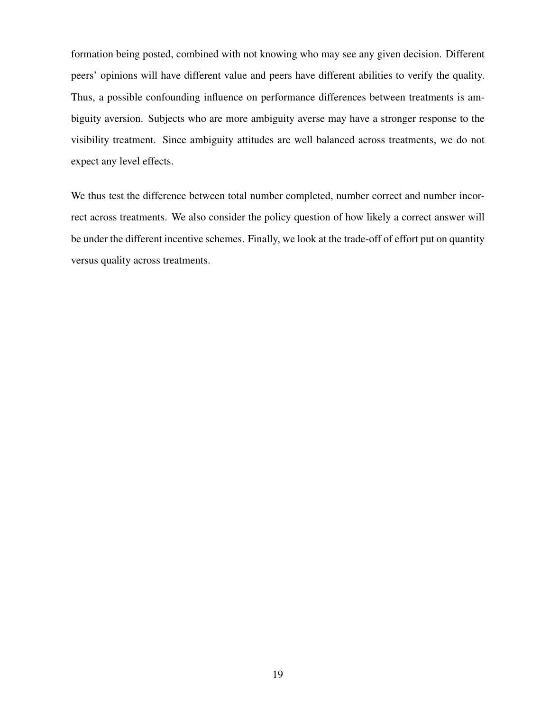formation being posted, combined with not knowing who may see any given decision. Different peers' opinions will have different value and peers have different abilities to verify the quality. Thus, a possible confounding influence on performance differences between treatments is ambiguity aversion. Subjects who are more ambiguity averse may have a stronger response to the visibility treatment. Since ambiguity attitudes are well balanced across treatments, we do not expect any level effects.

We thus test the difference between total number completed, number correct and number incorrect across treatments. We also consider the policy question of how likely a correct answer will be under the different incentive schemes. Finally, we look at the trade-off of effort put on quantity versus quality across treatments.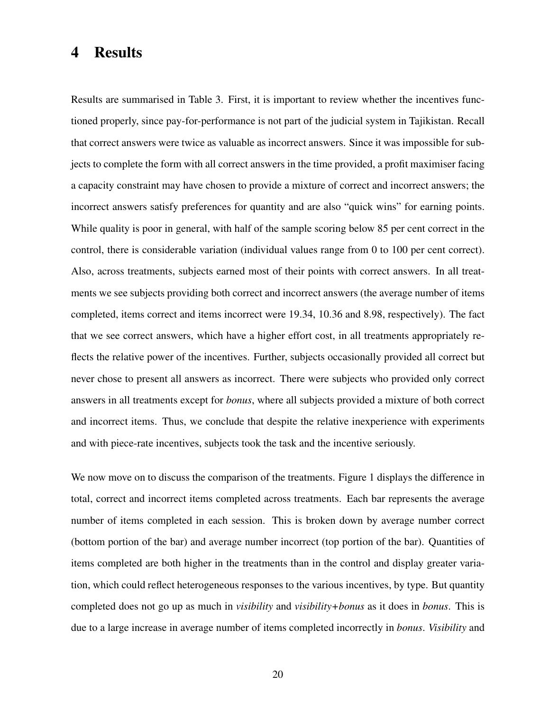# 4 Results

Results are summarised in [Table 3.](#page-35-0) First, it is important to review whether the incentives functioned properly, since pay-for-performance is not part of the judicial system in Tajikistan. Recall that correct answers were twice as valuable as incorrect answers. Since it was impossible for subjects to complete the form with all correct answers in the time provided, a profit maximiser facing a capacity constraint may have chosen to provide a mixture of correct and incorrect answers; the incorrect answers satisfy preferences for quantity and are also "quick wins" for earning points. While quality is poor in general, with half of the sample scoring below 85 per cent correct in the control, there is considerable variation (individual values range from 0 to 100 per cent correct). Also, across treatments, subjects earned most of their points with correct answers. In all treatments we see subjects providing both correct and incorrect answers (the average number of items completed, items correct and items incorrect were 19.34, 10.36 and 8.98, respectively). The fact that we see correct answers, which have a higher effort cost, in all treatments appropriately reflects the relative power of the incentives. Further, subjects occasionally provided all correct but never chose to present all answers as incorrect. There were subjects who provided only correct answers in all treatments except for *bonus*, where all subjects provided a mixture of both correct and incorrect items. Thus, we conclude that despite the relative inexperience with experiments and with piece-rate incentives, subjects took the task and the incentive seriously.

We now move on to discuss the comparison of the treatments. [Figure 1](#page-34-0) displays the difference in total, correct and incorrect items completed across treatments. Each bar represents the average number of items completed in each session. This is broken down by average number correct (bottom portion of the bar) and average number incorrect (top portion of the bar). Quantities of items completed are both higher in the treatments than in the control and display greater variation, which could reflect heterogeneous responses to the various incentives, by type. But quantity completed does not go up as much in *visibility* and *visibility+bonus* as it does in *bonus*. This is due to a large increase in average number of items completed incorrectly in *bonus*. *Visibility* and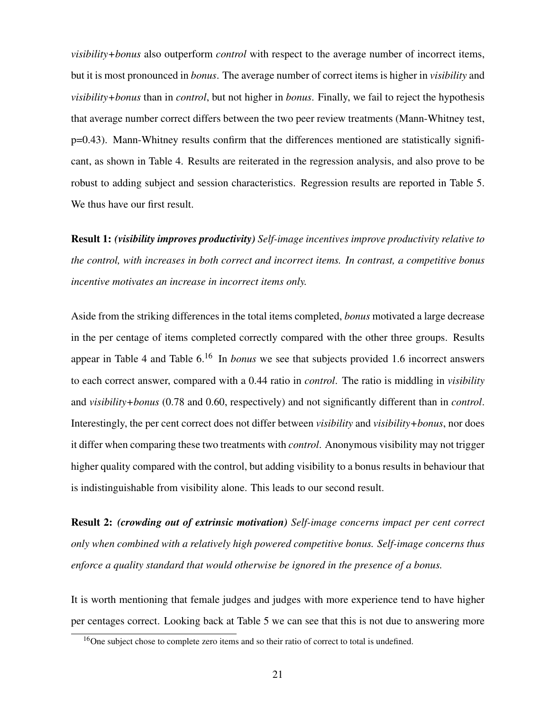*visibility+bonus* also outperform *control* with respect to the average number of incorrect items, but it is most pronounced in *bonus*. The average number of correct items is higher in *visibility* and *visibility+bonus* than in *control*, but not higher in *bonus*. Finally, we fail to reject the hypothesis that average number correct differs between the two peer review treatments (Mann-Whitney test, p=0.43). Mann-Whitney results confirm that the differences mentioned are statistically significant, as shown in [Table 4.](#page-36-0) Results are reiterated in the regression analysis, and also prove to be robust to adding subject and session characteristics. Regression results are reported in [Table 5.](#page-37-0) We thus have our first result.

Result 1: *(visibility improves productivity) Self-image incentives improve productivity relative to the control, with increases in both correct and incorrect items. In contrast, a competitive bonus incentive motivates an increase in incorrect items only.*

Aside from the striking differences in the total items completed, *bonus* motivated a large decrease in the per centage of items completed correctly compared with the other three groups. Results appear in [Table 4](#page-36-0) and [Table 6.](#page-38-0) [16](#page-21-0) In *bonus* we see that subjects provided 1.6 incorrect answers to each correct answer, compared with a 0.44 ratio in *control*. The ratio is middling in *visibility* and *visibility+bonus* (0.78 and 0.60, respectively) and not significantly different than in *control*. Interestingly, the per cent correct does not differ between *visibility* and *visibility+bonus*, nor does it differ when comparing these two treatments with *control*. Anonymous visibility may not trigger higher quality compared with the control, but adding visibility to a bonus results in behaviour that is indistinguishable from visibility alone. This leads to our second result.

Result 2: *(crowding out of extrinsic motivation) Self-image concerns impact per cent correct only when combined with a relatively high powered competitive bonus. Self-image concerns thus enforce a quality standard that would otherwise be ignored in the presence of a bonus.*

It is worth mentioning that female judges and judges with more experience tend to have higher per centages correct. Looking back at [Table 5](#page-37-0) we can see that this is not due to answering more

<span id="page-21-0"></span><sup>&</sup>lt;sup>16</sup>One subject chose to complete zero items and so their ratio of correct to total is undefined.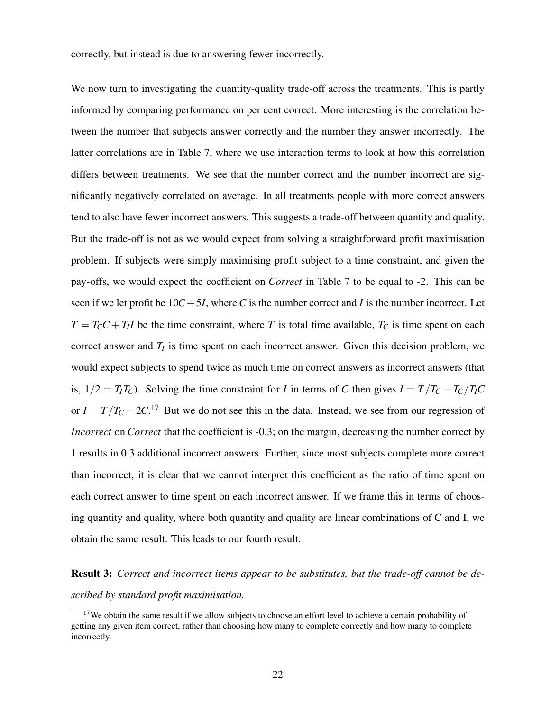correctly, but instead is due to answering fewer incorrectly.

We now turn to investigating the quantity-quality trade-off across the treatments. This is partly informed by comparing performance on per cent correct. More interesting is the correlation between the number that subjects answer correctly and the number they answer incorrectly. The latter correlations are in [Table 7,](#page-39-0) where we use interaction terms to look at how this correlation differs between treatments. We see that the number correct and the number incorrect are significantly negatively correlated on average. In all treatments people with more correct answers tend to also have fewer incorrect answers. This suggests a trade-off between quantity and quality. But the trade-off is not as we would expect from solving a straightforward profit maximisation problem. If subjects were simply maximising profit subject to a time constraint, and given the pay-offs, we would expect the coefficient on *Correct* in [Table 7](#page-39-0) to be equal to -2. This can be seen if we let profit be  $10C + 5I$ , where *C* is the number correct and *I* is the number incorrect. Let  $T = T_C C + T_I I$  be the time constraint, where *T* is total time available,  $T_C$  is time spent on each correct answer and  $T_I$  is time spent on each incorrect answer. Given this decision problem, we would expect subjects to spend twice as much time on correct answers as incorrect answers (that is,  $1/2 = T_I T_C$ ). Solving the time constraint for *I* in terms of *C* then gives  $I = T/T_C - T_C/T_I C$ or  $I = T/T_C - 2C$ <sup>[17](#page-22-0)</sup> But we do not see this in the data. Instead, we see from our regression of *Incorrect* on *Correct* that the coefficient is -0.3; on the margin, decreasing the number correct by 1 results in 0.3 additional incorrect answers. Further, since most subjects complete more correct than incorrect, it is clear that we cannot interpret this coefficient as the ratio of time spent on each correct answer to time spent on each incorrect answer. If we frame this in terms of choosing quantity and quality, where both quantity and quality are linear combinations of C and I, we obtain the same result. This leads to our fourth result.

Result 3: *Correct and incorrect items appear to be substitutes, but the trade-off cannot be described by standard profit maximisation.*

<span id="page-22-0"></span><sup>&</sup>lt;sup>17</sup>We obtain the same result if we allow subjects to choose an effort level to achieve a certain probability of getting any given item correct, rather than choosing how many to complete correctly and how many to complete incorrectly.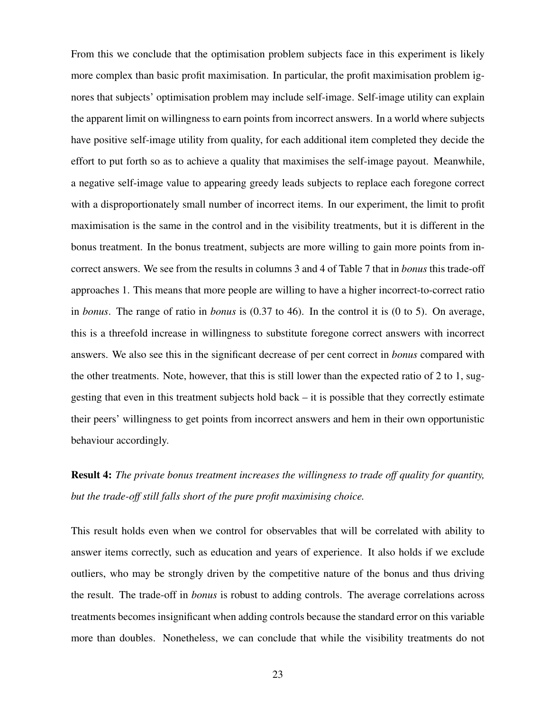From this we conclude that the optimisation problem subjects face in this experiment is likely more complex than basic profit maximisation. In particular, the profit maximisation problem ignores that subjects' optimisation problem may include self-image. Self-image utility can explain the apparent limit on willingness to earn points from incorrect answers. In a world where subjects have positive self-image utility from quality, for each additional item completed they decide the effort to put forth so as to achieve a quality that maximises the self-image payout. Meanwhile, a negative self-image value to appearing greedy leads subjects to replace each foregone correct with a disproportionately small number of incorrect items. In our experiment, the limit to profit maximisation is the same in the control and in the visibility treatments, but it is different in the bonus treatment. In the bonus treatment, subjects are more willing to gain more points from incorrect answers. We see from the results in columns 3 and 4 of [Table 7](#page-39-0) that in *bonus* this trade-off approaches 1. This means that more people are willing to have a higher incorrect-to-correct ratio in *bonus*. The range of ratio in *bonus* is (0.37 to 46). In the control it is (0 to 5). On average, this is a threefold increase in willingness to substitute foregone correct answers with incorrect answers. We also see this in the significant decrease of per cent correct in *bonus* compared with the other treatments. Note, however, that this is still lower than the expected ratio of 2 to 1, suggesting that even in this treatment subjects hold back – it is possible that they correctly estimate their peers' willingness to get points from incorrect answers and hem in their own opportunistic behaviour accordingly.

Result 4: *The private bonus treatment increases the willingness to trade off quality for quantity, but the trade-off still falls short of the pure profit maximising choice.*

This result holds even when we control for observables that will be correlated with ability to answer items correctly, such as education and years of experience. It also holds if we exclude outliers, who may be strongly driven by the competitive nature of the bonus and thus driving the result. The trade-off in *bonus* is robust to adding controls. The average correlations across treatments becomes insignificant when adding controls because the standard error on this variable more than doubles. Nonetheless, we can conclude that while the visibility treatments do not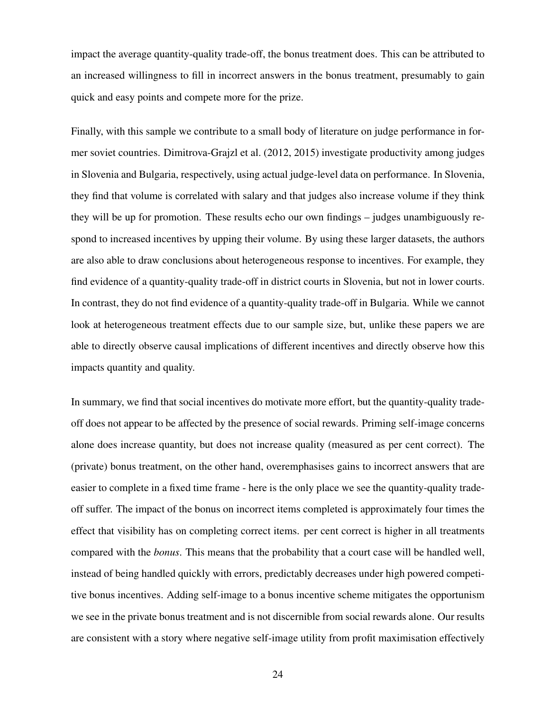impact the average quantity-quality trade-off, the bonus treatment does. This can be attributed to an increased willingness to fill in incorrect answers in the bonus treatment, presumably to gain quick and easy points and compete more for the prize.

Finally, with this sample we contribute to a small body of literature on judge performance in former soviet countries. [Dimitrova-Grajzl et al.](#page-30-15) [\(2012,](#page-30-15) [2015\)](#page-30-16) investigate productivity among judges in Slovenia and Bulgaria, respectively, using actual judge-level data on performance. In Slovenia, they find that volume is correlated with salary and that judges also increase volume if they think they will be up for promotion. These results echo our own findings – judges unambiguously respond to increased incentives by upping their volume. By using these larger datasets, the authors are also able to draw conclusions about heterogeneous response to incentives. For example, they find evidence of a quantity-quality trade-off in district courts in Slovenia, but not in lower courts. In contrast, they do not find evidence of a quantity-quality trade-off in Bulgaria. While we cannot look at heterogeneous treatment effects due to our sample size, but, unlike these papers we are able to directly observe causal implications of different incentives and directly observe how this impacts quantity and quality.

In summary, we find that social incentives do motivate more effort, but the quantity-quality tradeoff does not appear to be affected by the presence of social rewards. Priming self-image concerns alone does increase quantity, but does not increase quality (measured as per cent correct). The (private) bonus treatment, on the other hand, overemphasises gains to incorrect answers that are easier to complete in a fixed time frame - here is the only place we see the quantity-quality tradeoff suffer. The impact of the bonus on incorrect items completed is approximately four times the effect that visibility has on completing correct items. per cent correct is higher in all treatments compared with the *bonus*. This means that the probability that a court case will be handled well, instead of being handled quickly with errors, predictably decreases under high powered competitive bonus incentives. Adding self-image to a bonus incentive scheme mitigates the opportunism we see in the private bonus treatment and is not discernible from social rewards alone. Our results are consistent with a story where negative self-image utility from profit maximisation effectively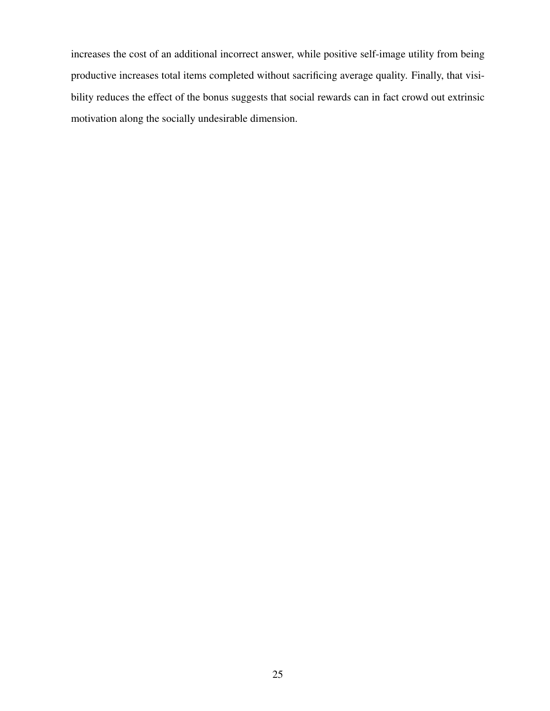increases the cost of an additional incorrect answer, while positive self-image utility from being productive increases total items completed without sacrificing average quality. Finally, that visibility reduces the effect of the bonus suggests that social rewards can in fact crowd out extrinsic motivation along the socially undesirable dimension.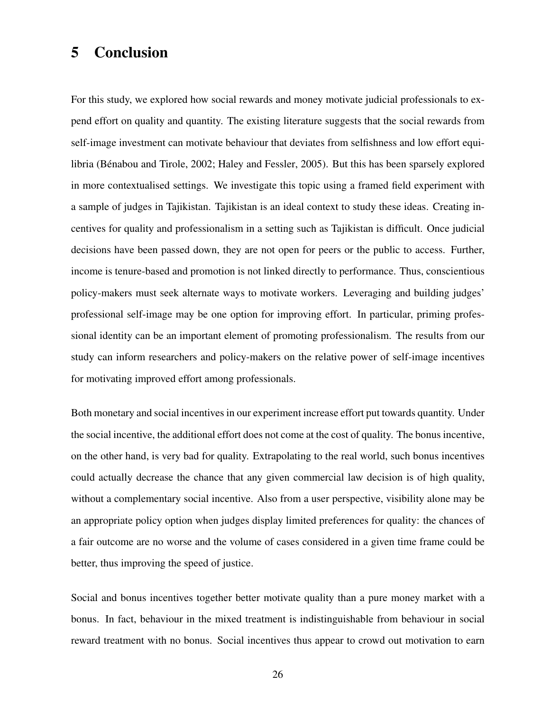# 5 Conclusion

For this study, we explored how social rewards and money motivate judicial professionals to expend effort on quality and quantity. The existing literature suggests that the social rewards from self-image investment can motivate behaviour that deviates from selfishness and low effort equilibria [\(Bénabou and Tirole,](#page-29-0) [2002;](#page-29-0) [Haley and Fessler,](#page-30-13) [2005\)](#page-30-13). But this has been sparsely explored in more contextualised settings. We investigate this topic using a framed field experiment with a sample of judges in Tajikistan. Tajikistan is an ideal context to study these ideas. Creating incentives for quality and professionalism in a setting such as Tajikistan is difficult. Once judicial decisions have been passed down, they are not open for peers or the public to access. Further, income is tenure-based and promotion is not linked directly to performance. Thus, conscientious policy-makers must seek alternate ways to motivate workers. Leveraging and building judges' professional self-image may be one option for improving effort. In particular, priming professional identity can be an important element of promoting professionalism. The results from our study can inform researchers and policy-makers on the relative power of self-image incentives for motivating improved effort among professionals.

Both monetary and social incentives in our experiment increase effort put towards quantity. Under the social incentive, the additional effort does not come at the cost of quality. The bonus incentive, on the other hand, is very bad for quality. Extrapolating to the real world, such bonus incentives could actually decrease the chance that any given commercial law decision is of high quality, without a complementary social incentive. Also from a user perspective, visibility alone may be an appropriate policy option when judges display limited preferences for quality: the chances of a fair outcome are no worse and the volume of cases considered in a given time frame could be better, thus improving the speed of justice.

Social and bonus incentives together better motivate quality than a pure money market with a bonus. In fact, behaviour in the mixed treatment is indistinguishable from behaviour in social reward treatment with no bonus. Social incentives thus appear to crowd out motivation to earn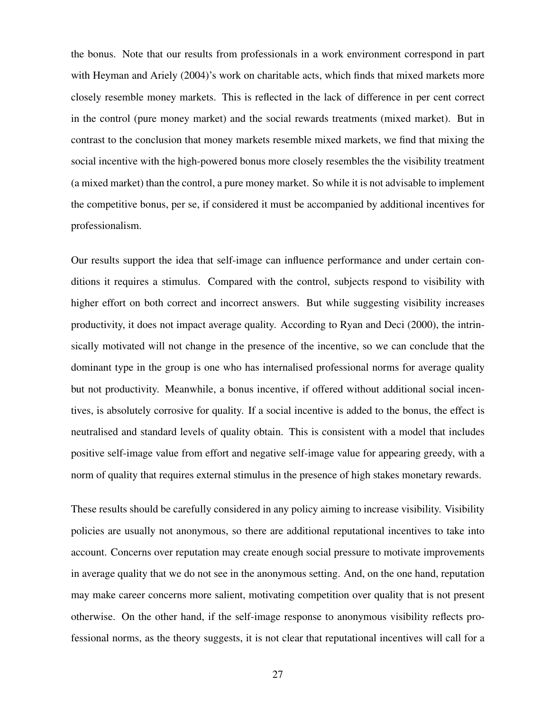the bonus. Note that our results from professionals in a work environment correspond in part with [Heyman and Ariely](#page-30-5) [\(2004\)](#page-30-5)'s work on charitable acts, which finds that mixed markets more closely resemble money markets. This is reflected in the lack of difference in per cent correct in the control (pure money market) and the social rewards treatments (mixed market). But in contrast to the conclusion that money markets resemble mixed markets, we find that mixing the social incentive with the high-powered bonus more closely resembles the the visibility treatment (a mixed market) than the control, a pure money market. So while it is not advisable to implement the competitive bonus, per se, if considered it must be accompanied by additional incentives for professionalism.

Our results support the idea that self-image can influence performance and under certain conditions it requires a stimulus. Compared with the control, subjects respond to visibility with higher effort on both correct and incorrect answers. But while suggesting visibility increases productivity, it does not impact average quality. According to [Ryan and Deci](#page-31-0) [\(2000\)](#page-31-0), the intrinsically motivated will not change in the presence of the incentive, so we can conclude that the dominant type in the group is one who has internalised professional norms for average quality but not productivity. Meanwhile, a bonus incentive, if offered without additional social incentives, is absolutely corrosive for quality. If a social incentive is added to the bonus, the effect is neutralised and standard levels of quality obtain. This is consistent with a model that includes positive self-image value from effort and negative self-image value for appearing greedy, with a norm of quality that requires external stimulus in the presence of high stakes monetary rewards.

These results should be carefully considered in any policy aiming to increase visibility. Visibility policies are usually not anonymous, so there are additional reputational incentives to take into account. Concerns over reputation may create enough social pressure to motivate improvements in average quality that we do not see in the anonymous setting. And, on the one hand, reputation may make career concerns more salient, motivating competition over quality that is not present otherwise. On the other hand, if the self-image response to anonymous visibility reflects professional norms, as the theory suggests, it is not clear that reputational incentives will call for a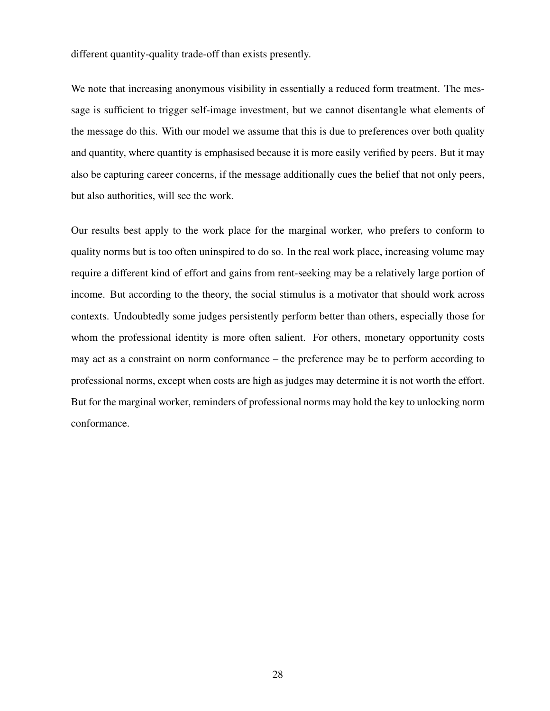different quantity-quality trade-off than exists presently.

We note that increasing anonymous visibility in essentially a reduced form treatment. The message is sufficient to trigger self-image investment, but we cannot disentangle what elements of the message do this. With our model we assume that this is due to preferences over both quality and quantity, where quantity is emphasised because it is more easily verified by peers. But it may also be capturing career concerns, if the message additionally cues the belief that not only peers, but also authorities, will see the work.

Our results best apply to the work place for the marginal worker, who prefers to conform to quality norms but is too often uninspired to do so. In the real work place, increasing volume may require a different kind of effort and gains from rent-seeking may be a relatively large portion of income. But according to the theory, the social stimulus is a motivator that should work across contexts. Undoubtedly some judges persistently perform better than others, especially those for whom the professional identity is more often salient. For others, monetary opportunity costs may act as a constraint on norm conformance – the preference may be to perform according to professional norms, except when costs are high as judges may determine it is not worth the effort. But for the marginal worker, reminders of professional norms may hold the key to unlocking norm conformance.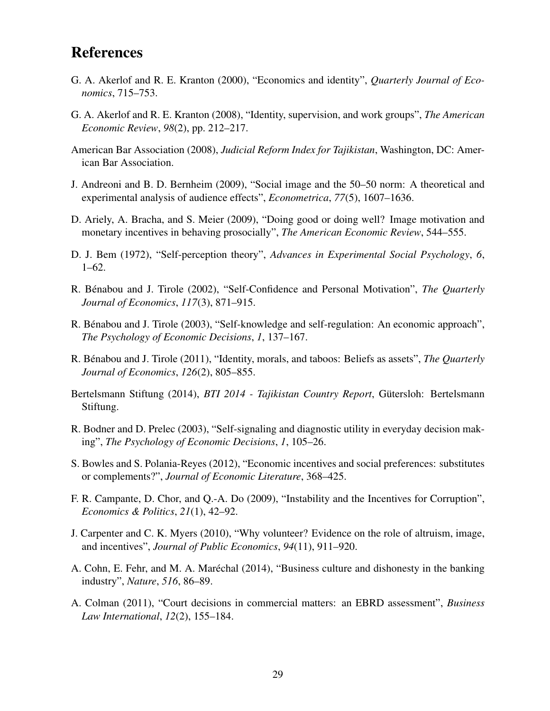# References

- <span id="page-29-6"></span>G. A. Akerlof and R. E. Kranton (2000), "Economics and identity", *Quarterly Journal of Economics*, 715–753.
- <span id="page-29-2"></span>G. A. Akerlof and R. E. Kranton (2008), "Identity, supervision, and work groups", *The American Economic Review*, *98*(2), pp. 212–217.
- <span id="page-29-13"></span>American Bar Association (2008), *Judicial Reform Index for Tajikistan*, Washington, DC: American Bar Association.
- <span id="page-29-11"></span>J. Andreoni and B. D. Bernheim (2009), "Social image and the 50–50 norm: A theoretical and experimental analysis of audience effects", *Econometrica*, *77*(5), 1607–1636.
- <span id="page-29-3"></span>D. Ariely, A. Bracha, and S. Meier (2009), "Doing good or doing well? Image motivation and monetary incentives in behaving prosocially", *The American Economic Review*, 544–555.
- <span id="page-29-5"></span>D. J. Bem (1972), "Self-perception theory", *Advances in Experimental Social Psychology*, *6*, 1–62.
- <span id="page-29-0"></span>R. Bénabou and J. Tirole (2002), "Self-Confidence and Personal Motivation", *The Quarterly Journal of Economics*, *117*(3), 871–915.
- <span id="page-29-9"></span>R. Bénabou and J. Tirole (2003), "Self-knowledge and self-regulation: An economic approach", *The Psychology of Economic Decisions*, *1*, 137–167.
- <span id="page-29-7"></span>R. Bénabou and J. Tirole (2011), "Identity, morals, and taboos: Beliefs as assets", *The Quarterly Journal of Economics*, *126*(2), 805–855.
- <span id="page-29-14"></span>Bertelsmann Stiftung (2014), *BTI 2014 - Tajikistan Country Report*, Gütersloh: Bertelsmann Stiftung.
- <span id="page-29-10"></span>R. Bodner and D. Prelec (2003), "Self-signaling and diagnostic utility in everyday decision making", *The Psychology of Economic Decisions*, *1*, 105–26.
- <span id="page-29-1"></span>S. Bowles and S. Polania-Reyes (2012), "Economic incentives and social preferences: substitutes or complements?", *Journal of Economic Literature*, 368–425.
- <span id="page-29-15"></span>F. R. Campante, D. Chor, and Q.-A. Do (2009), "Instability and the Incentives for Corruption", *Economics & Politics*, *21*(1), 42–92.
- <span id="page-29-4"></span>J. Carpenter and C. K. Myers (2010), "Why volunteer? Evidence on the role of altruism, image, and incentives", *Journal of Public Economics*, *94*(11), 911–920.
- <span id="page-29-8"></span>A. Cohn, E. Fehr, and M. A. Maréchal (2014), "Business culture and dishonesty in the banking industry", *Nature*, *516*, 86–89.
- <span id="page-29-12"></span>A. Colman (2011), "Court decisions in commercial matters: an EBRD assessment", *Business Law International*, *12*(2), 155–184.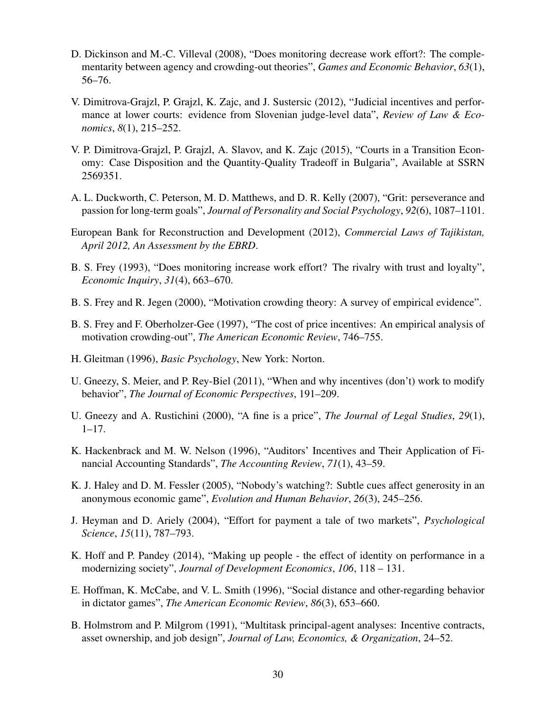- <span id="page-30-7"></span>D. Dickinson and M.-C. Villeval (2008), "Does monitoring decrease work effort?: The complementarity between agency and crowding-out theories", *Games and Economic Behavior*, *63*(1), 56–76.
- <span id="page-30-15"></span>V. Dimitrova-Grajzl, P. Grajzl, K. Zajc, and J. Sustersic (2012), "Judicial incentives and performance at lower courts: evidence from Slovenian judge-level data", *Review of Law & Economics*, *8*(1), 215–252.
- <span id="page-30-16"></span>V. P. Dimitrova-Grajzl, P. Grajzl, A. Slavov, and K. Zajc (2015), "Courts in a Transition Economy: Case Disposition and the Quantity-Quality Tradeoff in Bulgaria", Available at SSRN 2569351.
- <span id="page-30-14"></span>A. L. Duckworth, C. Peterson, M. D. Matthews, and D. R. Kelly (2007), "Grit: perseverance and passion for long-term goals", *Journal of Personality and Social Psychology*, *92*(6), 1087–1101.
- <span id="page-30-11"></span>European Bank for Reconstruction and Development (2012), *Commercial Laws of Tajikistan, April 2012, An Assessment by the EBRD*.
- <span id="page-30-1"></span>B. S. Frey (1993), "Does monitoring increase work effort? The rivalry with trust and loyalty", *Economic Inquiry*, *31*(4), 663–670.
- <span id="page-30-2"></span>B. S. Frey and R. Jegen (2000), "Motivation crowding theory: A survey of empirical evidence".
- <span id="page-30-3"></span>B. S. Frey and F. Oberholzer-Gee (1997), "The cost of price incentives: An empirical analysis of motivation crowding-out", *The American Economic Review*, 746–755.
- <span id="page-30-9"></span>H. Gleitman (1996), *Basic Psychology*, New York: Norton.
- <span id="page-30-4"></span>U. Gneezy, S. Meier, and P. Rey-Biel (2011), "When and why incentives (don't) work to modify behavior", *The Journal of Economic Perspectives*, 191–209.
- <span id="page-30-6"></span>U. Gneezy and A. Rustichini (2000), "A fine is a price", *The Journal of Legal Studies*, *29*(1),  $1-17.$
- <span id="page-30-10"></span>K. Hackenbrack and M. W. Nelson (1996), "Auditors' Incentives and Their Application of Financial Accounting Standards", *The Accounting Review*, *71*(1), 43–59.
- <span id="page-30-13"></span>K. J. Haley and D. M. Fessler (2005), "Nobody's watching?: Subtle cues affect generosity in an anonymous economic game", *Evolution and Human Behavior*, *26*(3), 245–256.
- <span id="page-30-5"></span>J. Heyman and D. Ariely (2004), "Effort for payment a tale of two markets", *Psychological Science*, *15*(11), 787–793.
- <span id="page-30-8"></span>K. Hoff and P. Pandey (2014), "Making up people - the effect of identity on performance in a modernizing society", *Journal of Development Economics*, *106*, 118 – 131.
- <span id="page-30-12"></span>E. Hoffman, K. McCabe, and V. L. Smith (1996), "Social distance and other-regarding behavior in dictator games", *The American Economic Review*, *86*(3), 653–660.
- <span id="page-30-0"></span>B. Holmstrom and P. Milgrom (1991), "Multitask principal-agent analyses: Incentive contracts, asset ownership, and job design", *Journal of Law, Economics, & Organization*, 24–52.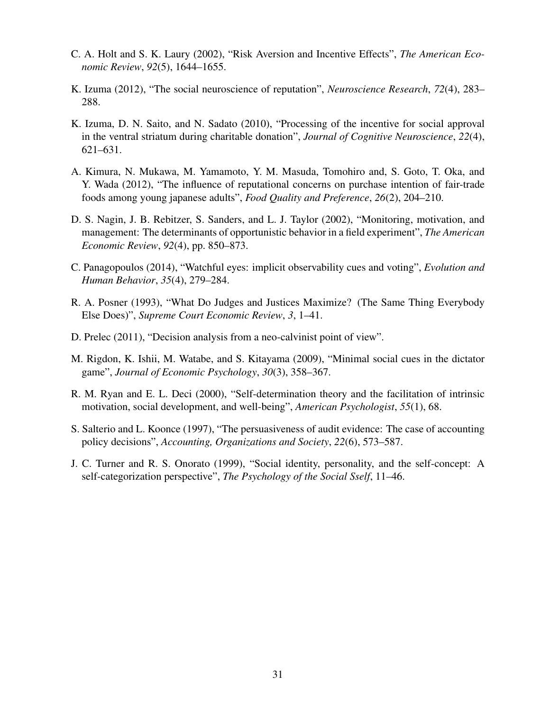- <span id="page-31-11"></span>C. A. Holt and S. K. Laury (2002), "Risk Aversion and Incentive Effects", *The American Economic Review*, *92*(5), 1644–1655.
- <span id="page-31-3"></span>K. Izuma (2012), "The social neuroscience of reputation", *Neuroscience Research*, *72*(4), 283– 288.
- <span id="page-31-7"></span>K. Izuma, D. N. Saito, and N. Sadato (2010), "Processing of the incentive for social approval in the ventral striatum during charitable donation", *Journal of Cognitive Neuroscience*, *22*(4), 621–631.
- <span id="page-31-9"></span>A. Kimura, N. Mukawa, M. Yamamoto, Y. M. Masuda, Tomohiro and, S. Goto, T. Oka, and Y. Wada (2012), "The influence of reputational concerns on purchase intention of fair-trade foods among young japanese adults", *Food Quality and Preference*, *26*(2), 204–210.
- <span id="page-31-5"></span>D. S. Nagin, J. B. Rebitzer, S. Sanders, and L. J. Taylor (2002), "Monitoring, motivation, and management: The determinants of opportunistic behavior in a field experiment", *The American Economic Review*, *92*(4), pp. 850–873.
- <span id="page-31-10"></span>C. Panagopoulos (2014), "Watchful eyes: implicit observability cues and voting", *Evolution and Human Behavior*, *35*(4), 279–284.
- <span id="page-31-1"></span>R. A. Posner (1993), "What Do Judges and Justices Maximize? (The Same Thing Everybody Else Does)", *Supreme Court Economic Review*, *3*, 1–41.
- <span id="page-31-4"></span>D. Prelec (2011), "Decision analysis from a neo-calvinist point of view".
- <span id="page-31-8"></span>M. Rigdon, K. Ishii, M. Watabe, and S. Kitayama (2009), "Minimal social cues in the dictator game", *Journal of Economic Psychology*, *30*(3), 358–367.
- <span id="page-31-0"></span>R. M. Ryan and E. L. Deci (2000), "Self-determination theory and the facilitation of intrinsic motivation, social development, and well-being", *American Psychologist*, *55*(1), 68.
- <span id="page-31-6"></span>S. Salterio and L. Koonce (1997), "The persuasiveness of audit evidence: The case of accounting policy decisions", *Accounting, Organizations and Society*, *22*(6), 573–587.
- <span id="page-31-2"></span>J. C. Turner and R. S. Onorato (1999), "Social identity, personality, and the self-concept: A self-categorization perspective", *The Psychology of the Social Sself*, 11–46.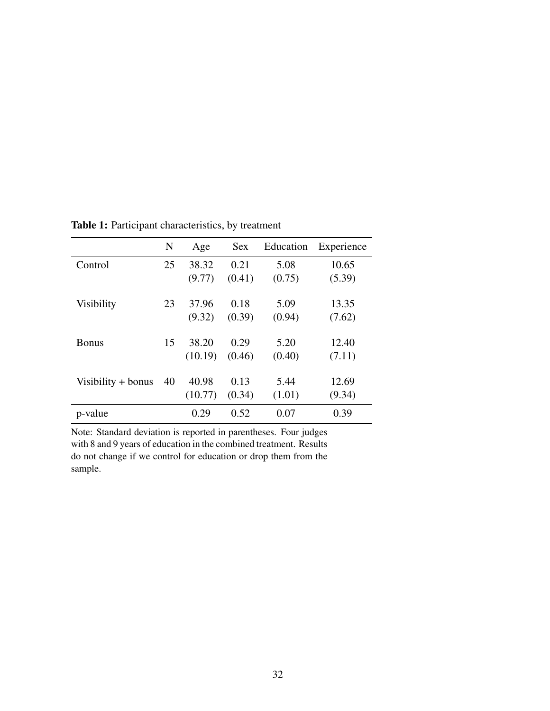|                      | N  | Age     | <b>Sex</b> | Education | Experience |
|----------------------|----|---------|------------|-----------|------------|
| Control              | 25 | 38.32   | 0.21       | 5.08      | 10.65      |
|                      |    | (9.77)  | (0.41)     | (0.75)    | (5.39)     |
|                      |    |         |            |           |            |
| <b>Visibility</b>    | 23 | 37.96   | 0.18       | 5.09      | 13.35      |
|                      |    | (9.32)  | (0.39)     | (0.94)    | (7.62)     |
|                      |    |         |            |           |            |
| <b>Bonus</b>         | 15 | 38.20   | 0.29       | 5.20      | 12.40      |
|                      |    | (10.19) | (0.46)     | (0.40)    | (7.11)     |
|                      |    |         |            |           |            |
| Visibility $+$ bonus | 40 | 40.98   | 0.13       | 5.44      | 12.69      |
|                      |    | (10.77) | (0.34)     | (1.01)    | (9.34)     |
| p-value              |    | 0.29    | 0.52       | 0.07      | 0.39       |

<span id="page-32-0"></span>Table 1: Participant characteristics, by treatment

Note: Standard deviation is reported in parentheses. Four judges with 8 and 9 years of education in the combined treatment. Results do not change if we control for education or drop them from the sample.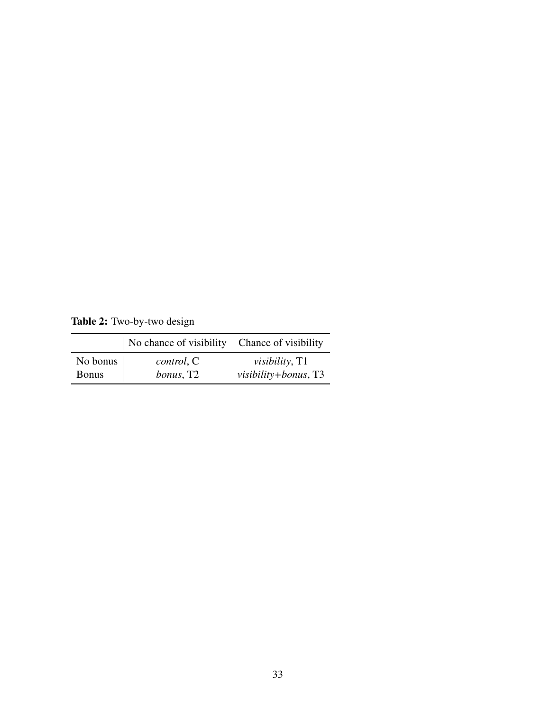<span id="page-33-0"></span>Table 2: Two-by-two design

|              | No chance of visibility       | Chance of visibility   |
|--------------|-------------------------------|------------------------|
| No bonus     | control, C                    | <i>visibility</i> , T1 |
| <b>Bonus</b> | <i>bonus</i> , T <sub>2</sub> | visibility+bonus, T3   |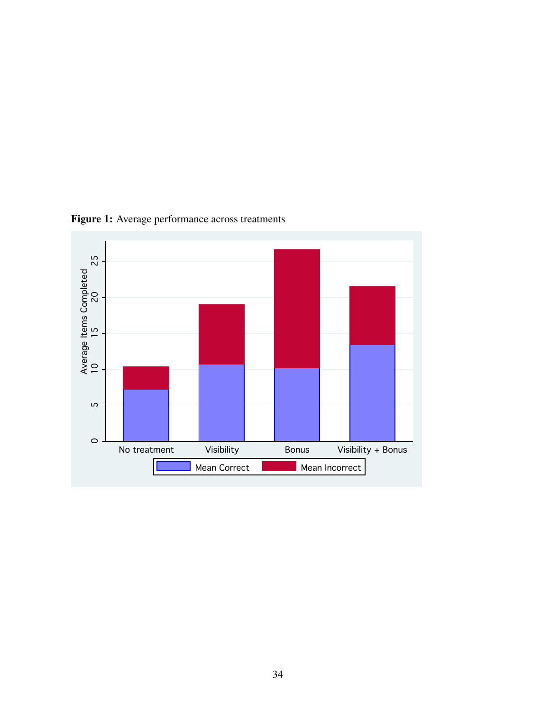

<span id="page-34-0"></span>Figure 1: Average performance across treatments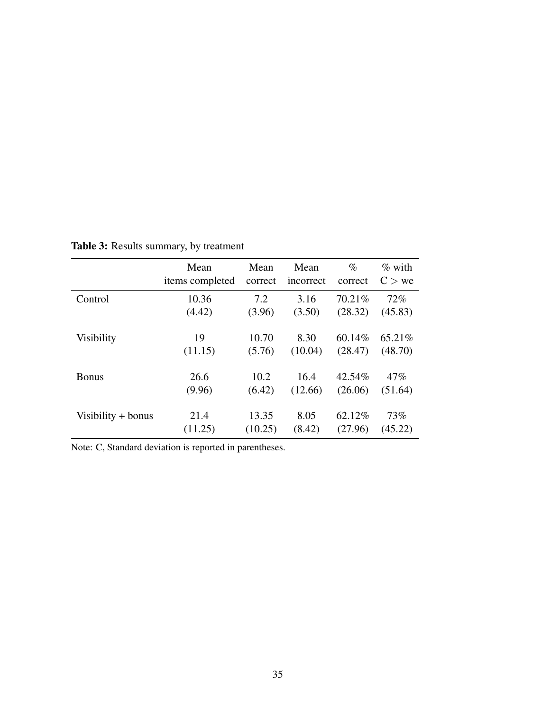|                    | Mean            | Mean    | Mean      | $\%$    | $\%$ with |
|--------------------|-----------------|---------|-----------|---------|-----------|
|                    | items completed | correct | incorrect | correct | $C >$ we  |
| Control            | 10.36           | 7.2     | 3.16      | 70.21%  | 72%       |
|                    | (4.42)          | (3.96)  | (3.50)    | (28.32) | (45.83)   |
| <b>Visibility</b>  | 19              | 10.70   | 8.30      | 60.14%  | 65.21\%   |
|                    | (11.15)         | (5.76)  | (10.04)   | (28.47) | (48.70)   |
| <b>Bonus</b>       | 26.6            | 10.2    | 16.4      | 42.54%  | 47%       |
|                    | (9.96)          | (6.42)  | (12.66)   | (26.06) | (51.64)   |
| Visibility + bonus | 21.4            | 13.35   | 8.05      | 62.12%  | 73%       |
|                    | (11.25)         | (10.25) | (8.42)    | (27.96) | (45.22)   |

<span id="page-35-0"></span>Table 3: Results summary, by treatment

Note: C, Standard deviation is reported in parentheses.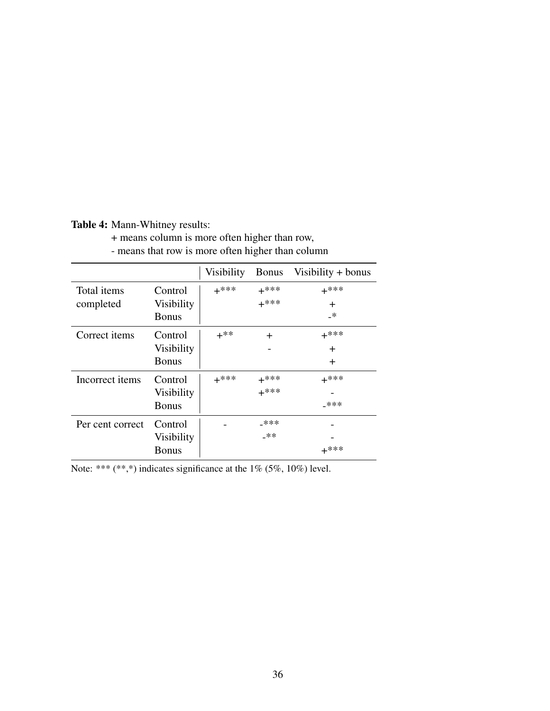<span id="page-36-0"></span>Table 4: Mann-Whitney results:

+ means column is more often higher than row,

- means that row is more often higher than column

|                          |                              | Visibility | <b>Bonus</b>     | Visibility $+$ bonus |
|--------------------------|------------------------------|------------|------------------|----------------------|
| Total items<br>completed | Control<br><b>Visibility</b> | $+***$     | $+***$<br>$+***$ | $+***$<br>$\div$     |
|                          | <b>Bonus</b>                 |            |                  | _*                   |
| Correct items            | Control                      | $+^{**}$   | $\div$           | $+***$               |
|                          | <b>Visibility</b>            |            |                  | $\div$               |
|                          | <b>Bonus</b>                 |            |                  | $\pm$                |
| Incorrect items          | Control                      | $+***$     | $+***$           | $+***$               |
|                          | <b>Visibility</b>            |            | $+***$           |                      |
|                          | <b>Bonus</b>                 |            |                  | $-***$               |
| Per cent correct         | Control                      |            | _***             |                      |
|                          | <b>Visibility</b>            |            | $-**$            |                      |
|                          | <b>Bonus</b>                 |            |                  | $+***$               |

Note: \*\*\* (\*\*,\*) indicates significance at the  $1\%$  (5%, 10%) level.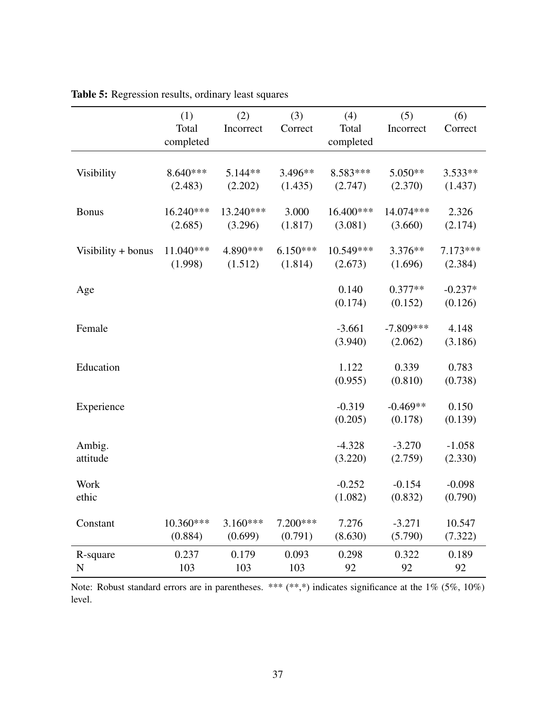|                    | (1)        | (2)        | (3)        | (4)       | (5)         | (6)        |
|--------------------|------------|------------|------------|-----------|-------------|------------|
|                    | Total      | Incorrect  | Correct    | Total     | Incorrect   | Correct    |
|                    | completed  |            |            | completed |             |            |
|                    |            |            |            |           |             |            |
| Visibility         | $8.640***$ | $5.144**$  | 3.496**    | 8.583***  | $5.050**$   | $3.533**$  |
|                    | (2.483)    | (2.202)    | (1.435)    | (2.747)   | (2.370)     | (1.437)    |
| <b>Bonus</b>       | 16.240***  | 13.240***  | 3.000      | 16.400*** | 14.074 ***  | 2.326      |
|                    | (2.685)    | (3.296)    | (1.817)    | (3.081)   | (3.660)     | (2.174)    |
|                    |            |            |            |           |             |            |
| Visibility + bonus | 11.040***  | 4.890 ***  | $6.150***$ | 10.549*** | $3.376**$   | $7.173***$ |
|                    | (1.998)    | (1.512)    | (1.814)    | (2.673)   | (1.696)     | (2.384)    |
| Age                |            |            |            | 0.140     | $0.377**$   | $-0.237*$  |
|                    |            |            |            | (0.174)   | (0.152)     | (0.126)    |
|                    |            |            |            |           |             |            |
| Female             |            |            |            | $-3.661$  | $-7.809***$ | 4.148      |
|                    |            |            |            | (3.940)   | (2.062)     | (3.186)    |
| Education          |            |            |            | 1.122     | 0.339       | 0.783      |
|                    |            |            |            | (0.955)   | (0.810)     | (0.738)    |
|                    |            |            |            |           |             |            |
| Experience         |            |            |            | $-0.319$  | $-0.469**$  | 0.150      |
|                    |            |            |            | (0.205)   | (0.178)     | (0.139)    |
|                    |            |            |            |           |             |            |
| Ambig.             |            |            |            | $-4.328$  | $-3.270$    | $-1.058$   |
| attitude           |            |            |            | (3.220)   | (2.759)     | (2.330)    |
| <b>Work</b>        |            |            |            | $-0.252$  | $-0.154$    | $-0.098$   |
| ethic              |            |            |            | (1.082)   | (0.832)     | (0.790)    |
|                    |            |            |            |           |             |            |
| Constant           | 10.360***  | $3.160***$ | 7.200***   | 7.276     | $-3.271$    | 10.547     |
|                    | (0.884)    | (0.699)    | (0.791)    | (8.630)   | (5.790)     | (7.322)    |
| R-square           | 0.237      | 0.179      | 0.093      | 0.298     | 0.322       | 0.189      |
| N                  | 103        | 103        | 103        | 92        | 92          | 92         |

<span id="page-37-0"></span>Table 5: Regression results, ordinary least squares

Note: Robust standard errors are in parentheses. \*\*\* (\*\*,\*) indicates significance at the 1% (5%, 10%) level.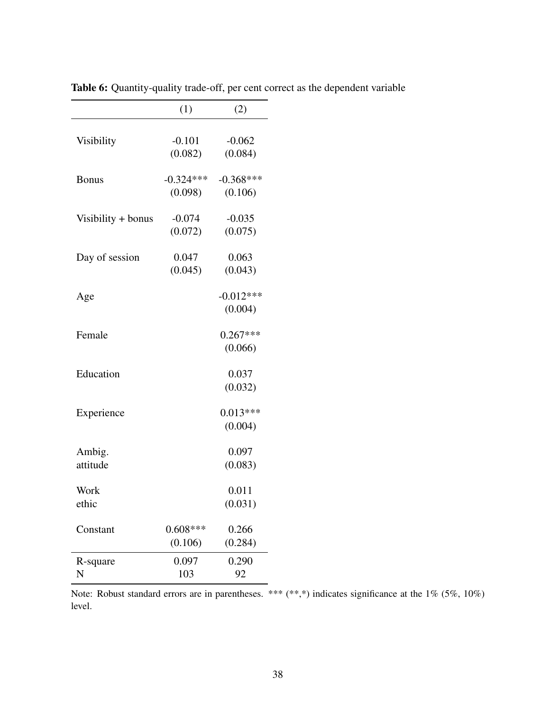|                    | (1)                 | (2)                 |
|--------------------|---------------------|---------------------|
| Visibility         | $-0.101$<br>(0.082) | $-0.062$<br>(0.084) |
| <b>Bonus</b>       | $-0.324***$         | $-0.368***$         |
|                    | (0.098)             | (0.106)             |
| Visibility + bonus | $-0.074$            | $-0.035$            |
|                    | (0.072)             | (0.075)             |
| Day of session     | 0.047               | 0.063               |
|                    | (0.045)             | (0.043)             |
| Age                |                     | $-0.012***$         |
|                    |                     | (0.004)             |
| Female             |                     | $0.267***$          |
|                    |                     | (0.066)             |
| Education          |                     | 0.037               |
|                    |                     | (0.032)             |
| Experience         |                     | $0.013***$          |
|                    |                     | (0.004)             |
| Ambig.             |                     | 0.097               |
| attitude           |                     | (0.083)             |
| Work               |                     | 0.011               |
| ethic              |                     | (0.031)             |
| Constant           | $0.608***$          | 0.266               |
|                    | (0.106)             | (0.284)             |
| R-square           | 0.097               | 0.290               |
| N                  | 103                 | 92                  |

<span id="page-38-0"></span>Table 6: Quantity-quality trade-off, per cent correct as the dependent variable

Note: Robust standard errors are in parentheses. \*\*\* (\*\*,\*) indicates significance at the 1% (5%, 10%) level.